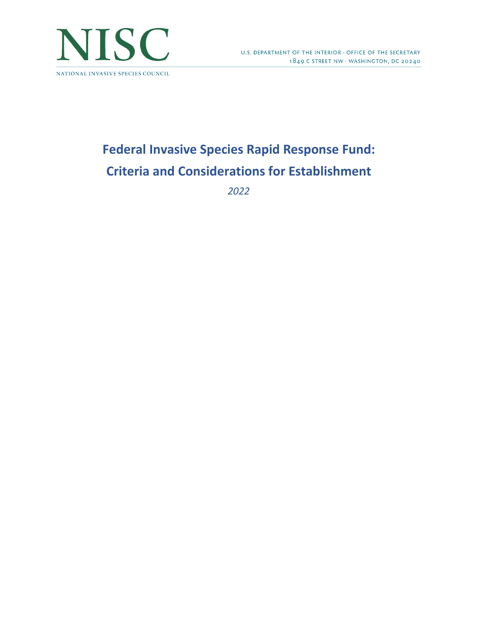

# **Federal Invasive Species Rapid Response Fund: Criteria and Considerations for Establishment**

*2022*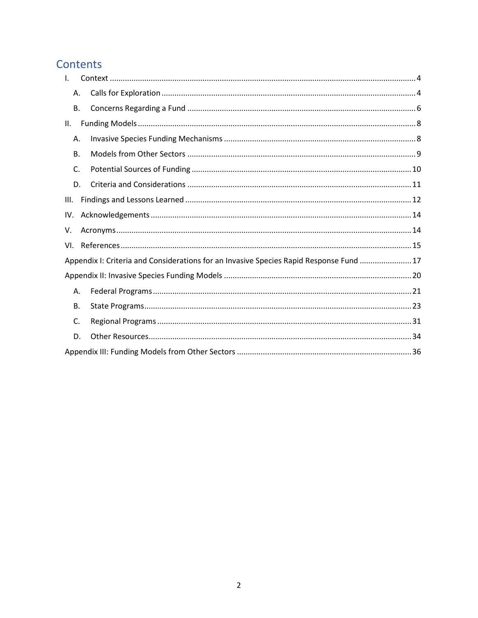## Contents

| I.   |                                                                                         |  |
|------|-----------------------------------------------------------------------------------------|--|
| А.   |                                                                                         |  |
| В.   |                                                                                         |  |
| II.  |                                                                                         |  |
| Α.   |                                                                                         |  |
| В.   |                                                                                         |  |
| C.   |                                                                                         |  |
| D.   |                                                                                         |  |
| III. |                                                                                         |  |
| IV.  |                                                                                         |  |
| V.   |                                                                                         |  |
| VI.  |                                                                                         |  |
|      | Appendix I: Criteria and Considerations for an Invasive Species Rapid Response Fund  17 |  |
|      |                                                                                         |  |
| А.   |                                                                                         |  |
| В.   |                                                                                         |  |
| C.   |                                                                                         |  |
| D.   |                                                                                         |  |
|      |                                                                                         |  |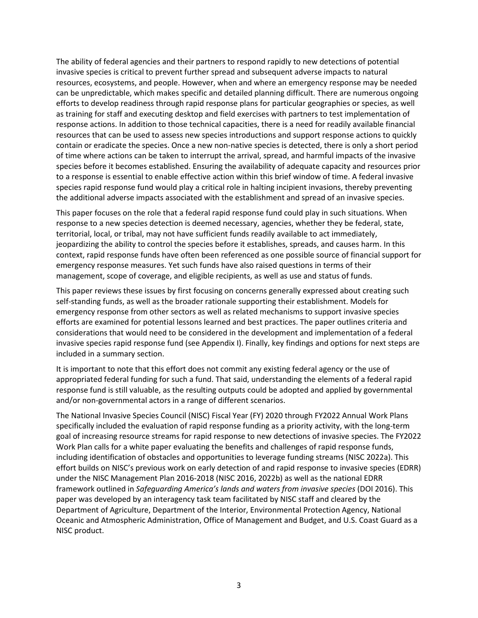The ability of federal agencies and their partners to respond rapidly to new detections of potential invasive species is critical to prevent further spread and subsequent adverse impacts to natural resources, ecosystems, and people. However, when and where an emergency response may be needed can be unpredictable, which makes specific and detailed planning difficult. There are numerous ongoing efforts to develop readiness through rapid response plans for particular geographies or species, as well as training for staff and executing desktop and field exercises with partners to test implementation of response actions. In addition to those technical capacities, there is a need for readily available financial resources that can be used to assess new species introductions and support response actions to quickly contain or eradicate the species. Once a new non-native species is detected, there is only a short period of time where actions can be taken to interrupt the arrival, spread, and harmful impacts of the invasive species before it becomes established. Ensuring the availability of adequate capacity and resources prior to a response is essential to enable effective action within this brief window of time. A federal invasive species rapid response fund would play a critical role in halting incipient invasions, thereby preventing the additional adverse impacts associated with the establishment and spread of an invasive species.

This paper focuses on the role that a federal rapid response fund could play in such situations. When response to a new species detection is deemed necessary, agencies, whether they be federal, state, territorial, local, or tribal, may not have sufficient funds readily available to act immediately, jeopardizing the ability to control the species before it establishes, spreads, and causes harm. In this context, rapid response funds have often been referenced as one possible source of financial support for emergency response measures. Yet such funds have also raised questions in terms of their management, scope of coverage, and eligible recipients, as well as use and status of funds.

This paper reviews these issues by first focusing on concerns generally expressed about creating such self-standing funds, as well as the broader rationale supporting their establishment. Models for emergency response from other sectors as well as related mechanisms to support invasive species efforts are examined for potential lessons learned and best practices. The paper outlines criteria and considerations that would need to be considered in the development and implementation of a federal invasive species rapid response fund (see Appendix I). Finally, key findings and options for next steps are included in a summary section.

It is important to note that this effort does not commit any existing federal agency or the use of appropriated federal funding for such a fund. That said, understanding the elements of a federal rapid response fund is still valuable, as the resulting outputs could be adopted and applied by governmental and/or non-governmental actors in a range of different scenarios.

The National Invasive Species Council (NISC) Fiscal Year (FY) 2020 through FY2022 Annual Work Plans specifically included the evaluation of rapid response funding as a priority activity, with the long-term goal of increasing resource streams for rapid response to new detections of invasive species. The FY2022 Work Plan calls for a white paper evaluating the benefits and challenges of rapid response funds, including identification of obstacles and opportunities to leverage funding streams (NISC 2022a). This effort builds on NISC's previous work on early detection of and rapid response to invasive species (EDRR) under the NISC Management Plan 2016-2018 (NISC 2016, 2022b) as well as the national EDRR framework outlined in *Safeguarding America's lands and waters from invasive species* (DOI 2016). This paper was developed by an interagency task team facilitated by NISC staff and cleared by the Department of Agriculture, Department of the Interior, Environmental Protection Agency, National Oceanic and Atmospheric Administration, Office of Management and Budget, and U.S. Coast Guard as a NISC product.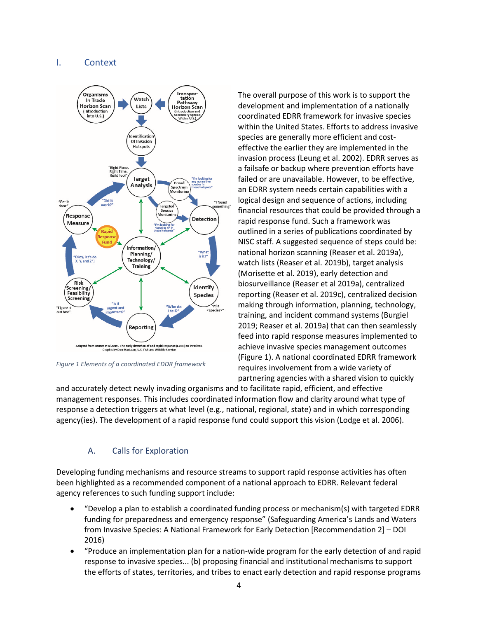## <span id="page-3-0"></span>I. Context



*Figure 1 Elements of a coordinated EDDR framework*

The overall purpose of this work is to support the development and implementation of a nationally coordinated EDRR framework for invasive species within the United States. Efforts to address invasive species are generally more efficient and costeffective the earlier they are implemented in the invasion process (Leung et al. 2002). EDRR serves as a failsafe or backup where prevention efforts have failed or are unavailable. However, to be effective, an EDRR system needs certain capabilities with a logical design and sequence of actions, including financial resources that could be provided through a rapid response fund. Such a framework was outlined in a series of publications coordinated by NISC staff. A suggested sequence of steps could be: national horizon scanning (Reaser et al. 2019a), watch lists (Reaser et al. 2019b), target analysis (Morisette et al. 2019), early detection and biosurveillance (Reaser et al 2019a), centralized reporting (Reaser et al. 2019c), centralized decision making through information, planning, technology, training, and incident command systems (Burgiel 2019; Reaser et al. 2019a) that can then seamlessly feed into rapid response measures implemented to achieve invasive species management outcomes (Figure 1). A national coordinated EDRR framework requires involvement from a wide variety of partnering agencies with a shared vision to quickly

and accurately detect newly invading organisms and to facilitate rapid, efficient, and effective management responses. This includes coordinated information flow and clarity around what type of response a detection triggers at what level (e.g., national, regional, state) and in which corresponding agency(ies). The development of a rapid response fund could support this vision (Lodge et al. 2006).

## A. Calls for Exploration

<span id="page-3-1"></span>Developing funding mechanisms and resource streams to support rapid response activities has often been highlighted as a recommended component of a national approach to EDRR. Relevant federal agency references to such funding support include:

- "Develop a plan to establish a coordinated funding process or mechanism(s) with targeted EDRR funding for preparedness and emergency response" (Safeguarding America's Lands and Waters from Invasive Species: A National Framework for Early Detection [Recommendation 2] – DOI 2016)
- "Produce an implementation plan for a nation-wide program for the early detection of and rapid response to invasive species... (b) proposing financial and institutional mechanisms to support the efforts of states, territories, and tribes to enact early detection and rapid response programs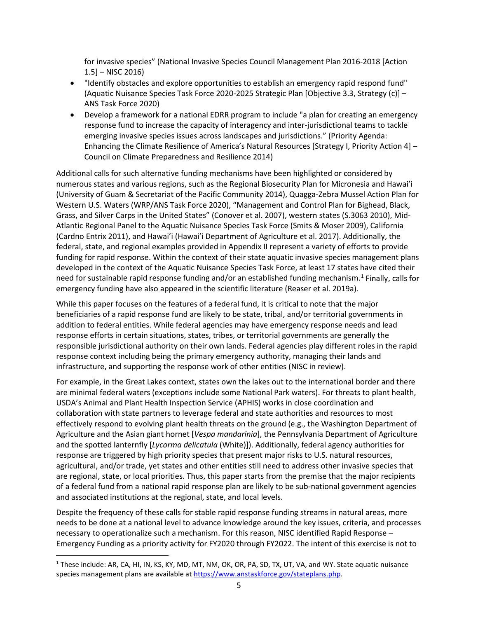for invasive species" (National Invasive Species Council Management Plan 2016-2018 [Action 1.5] – NISC 2016)

- "Identify obstacles and explore opportunities to establish an emergency rapid respond fund" (Aquatic Nuisance Species Task Force 2020-2025 Strategic Plan [Objective 3.3, Strategy (c)] – ANS Task Force 2020)
- Develop a framework for a national EDRR program to include "a plan for creating an emergency response fund to increase the capacity of interagency and inter-jurisdictional teams to tackle emerging invasive species issues across landscapes and jurisdictions." (Priority Agenda: Enhancing the Climate Resilience of America's Natural Resources [Strategy I, Priority Action 4] – Council on Climate Preparedness and Resilience 2014)

Additional calls for such alternative funding mechanisms have been highlighted or considered by numerous states and various regions, such as the Regional Biosecurity Plan for Micronesia and Hawai'i (University of Guam & Secretariat of the Pacific Community 2014), Quagga-Zebra Mussel Action Plan for Western U.S. Waters (WRP/ANS Task Force 2020), "Management and Control Plan for Bighead, Black, Grass, and Silver Carps in the United States" (Conover et al. 2007), western states (S.3063 2010), Mid-Atlantic Regional Panel to the Aquatic Nuisance Species Task Force (Smits & Moser 2009), California (Cardno Entrix 2011), and Hawai'i (Hawai'i Department of Agriculture et al. 2017). Additionally, the federal, state, and regional examples provided in Appendix II represent a variety of efforts to provide funding for rapid response. Within the context of their state aquatic invasive species management plans developed in the context of the Aquatic Nuisance Species Task Force, at least 17 states have cited their need for sustainable rapid response funding and/or an established funding mechanism.<sup>[1](#page-4-0)</sup> Finally, calls for emergency funding have also appeared in the scientific literature (Reaser et al. 2019a).

While this paper focuses on the features of a federal fund, it is critical to note that the major beneficiaries of a rapid response fund are likely to be state, tribal, and/or territorial governments in addition to federal entities. While federal agencies may have emergency response needs and lead response efforts in certain situations, states, tribes, or territorial governments are generally the responsible jurisdictional authority on their own lands. Federal agencies play different roles in the rapid response context including being the primary emergency authority, managing their lands and infrastructure, and supporting the response work of other entities (NISC in review).

For example, in the Great Lakes context, states own the lakes out to the international border and there are minimal federal waters (exceptions include some National Park waters). For threats to plant health, USDA's Animal and Plant Health Inspection Service (APHIS) works in close coordination and collaboration with state partners to leverage federal and state authorities and resources to most effectively respond to evolving plant health threats on the ground (e.g., the Washington Department of Agriculture and the Asian giant hornet [*Vespa mandarinia*], the Pennsylvania Department of Agriculture and the spotted lanternfly [*Lycorma delicatula* (White)]). Additionally, federal agency authorities for response are triggered by high priority species that present major risks to U.S. natural resources, agricultural, and/or trade, yet states and other entities still need to address other invasive species that are regional, state, or local priorities. Thus, this paper starts from the premise that the major recipients of a federal fund from a national rapid response plan are likely to be sub-national government agencies and associated institutions at the regional, state, and local levels.

Despite the frequency of these calls for stable rapid response funding streams in natural areas, more needs to be done at a national level to advance knowledge around the key issues, criteria, and processes necessary to operationalize such a mechanism. For this reason, NISC identified Rapid Response – Emergency Funding as a priority activity for FY2020 through FY2022. The intent of this exercise is not to

<span id="page-4-0"></span><sup>&</sup>lt;sup>1</sup> These include: AR, CA, HI, IN, KS, KY, MD, MT, NM, OK, OR, PA, SD, TX, UT, VA, and WY. State aquatic nuisance species management plans are available at [https://www.anstaskforce.gov/stateplans.php.](https://www.anstaskforce.gov/stateplans.php)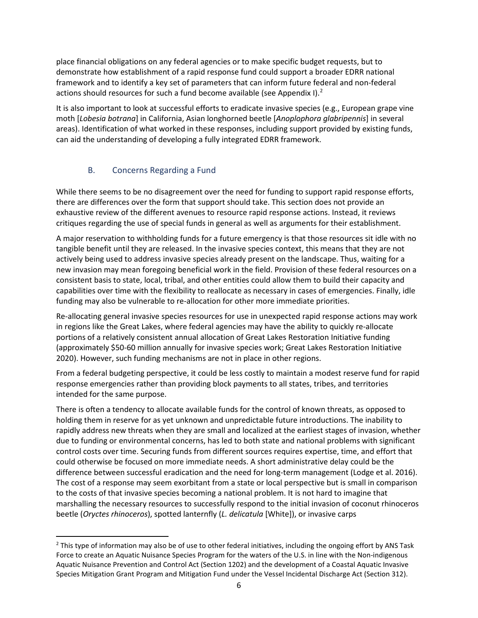place financial obligations on any federal agencies or to make specific budget requests, but to demonstrate how establishment of a rapid response fund could support a broader EDRR national framework and to identify a key set of parameters that can inform future federal and non-federal actions should resources for such a fund become available (see Appendix I).<sup>[2](#page-5-1)</sup>

It is also important to look at successful efforts to eradicate invasive species (e.g., European grape vine moth [*Lobesia botrana*] in California, Asian longhorned beetle [*Anoplophora glabripennis*] in several areas). Identification of what worked in these responses, including support provided by existing funds, can aid the understanding of developing a fully integrated EDRR framework.

## B. Concerns Regarding a Fund

<span id="page-5-0"></span>While there seems to be no disagreement over the need for funding to support rapid response efforts, there are differences over the form that support should take. This section does not provide an exhaustive review of the different avenues to resource rapid response actions. Instead, it reviews critiques regarding the use of special funds in general as well as arguments for their establishment.

A major reservation to withholding funds for a future emergency is that those resources sit idle with no tangible benefit until they are released. In the invasive species context, this means that they are not actively being used to address invasive species already present on the landscape. Thus, waiting for a new invasion may mean foregoing beneficial work in the field. Provision of these federal resources on a consistent basis to state, local, tribal, and other entities could allow them to build their capacity and capabilities over time with the flexibility to reallocate as necessary in cases of emergencies. Finally, idle funding may also be vulnerable to re-allocation for other more immediate priorities.

Re-allocating general invasive species resources for use in unexpected rapid response actions may work in regions like the Great Lakes, where federal agencies may have the ability to quickly re-allocate portions of a relatively consistent annual allocation of Great Lakes Restoration Initiative funding (approximately \$50-60 million annually for invasive species work; Great Lakes Restoration Initiative 2020). However, such funding mechanisms are not in place in other regions.

From a federal budgeting perspective, it could be less costly to maintain a modest reserve fund for rapid response emergencies rather than providing block payments to all states, tribes, and territories intended for the same purpose.

There is often a tendency to allocate available funds for the control of known threats, as opposed to holding them in reserve for as yet unknown and unpredictable future introductions. The inability to rapidly address new threats when they are small and localized at the earliest stages of invasion, whether due to funding or environmental concerns, has led to both state and national problems with significant control costs over time. Securing funds from different sources requires expertise, time, and effort that could otherwise be focused on more immediate needs. A short administrative delay could be the difference between successful eradication and the need for long-term management (Lodge et al. 2016). The cost of a response may seem exorbitant from a state or local perspective but is small in comparison to the costs of that invasive species becoming a national problem. It is not hard to imagine that marshalling the necessary resources to successfully respond to the initial invasion of coconut rhinoceros beetle (*Oryctes rhinoceros*), spotted lanternfly (*L. delicatula* [White]), or invasive carps

<span id="page-5-1"></span><sup>&</sup>lt;sup>2</sup> This type of information may also be of use to other federal initiatives, including the ongoing effort by ANS Task Force to create an Aquatic Nuisance Species Program for the waters of the U.S. in line with the Non-indigenous Aquatic Nuisance Prevention and Control Act (Section 1202) and the development of a Coastal Aquatic Invasive Species Mitigation Grant Program and Mitigation Fund under the Vessel Incidental Discharge Act (Section 312).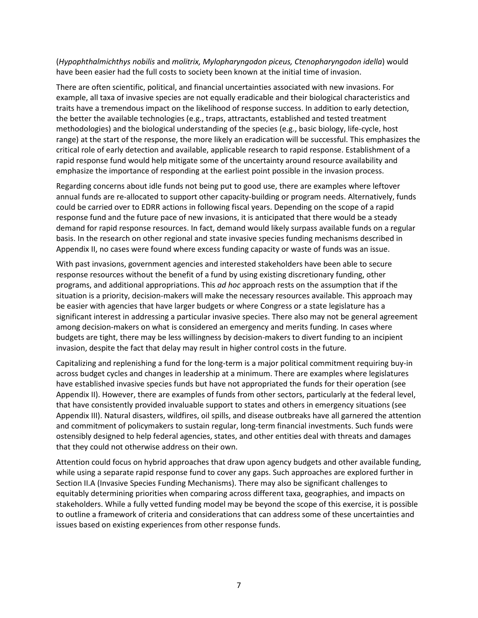## (*Hypophthalmichthys nobilis* and *molitrix, Mylopharyngodon piceus, Ctenopharyngodon idella*) would have been easier had the full costs to society been known at the initial time of invasion.

There are often scientific, political, and financial uncertainties associated with new invasions. For example, all taxa of invasive species are not equally eradicable and their biological characteristics and traits have a tremendous impact on the likelihood of response success. In addition to early detection, the better the available technologies (e.g., traps, attractants, established and tested treatment methodologies) and the biological understanding of the species (e.g., basic biology, life-cycle, host range) at the start of the response, the more likely an eradication will be successful. This emphasizes the critical role of early detection and available, applicable research to rapid response. Establishment of a rapid response fund would help mitigate some of the uncertainty around resource availability and emphasize the importance of responding at the earliest point possible in the invasion process.

Regarding concerns about idle funds not being put to good use, there are examples where leftover annual funds are re-allocated to support other capacity-building or program needs. Alternatively, funds could be carried over to EDRR actions in following fiscal years. Depending on the scope of a rapid response fund and the future pace of new invasions, it is anticipated that there would be a steady demand for rapid response resources. In fact, demand would likely surpass available funds on a regular basis. In the research on other regional and state invasive species funding mechanisms described in Appendix II, no cases were found where excess funding capacity or waste of funds was an issue.

With past invasions, government agencies and interested stakeholders have been able to secure response resources without the benefit of a fund by using existing discretionary funding, other programs, and additional appropriations. This *ad hoc* approach rests on the assumption that if the situation is a priority, decision-makers will make the necessary resources available. This approach may be easier with agencies that have larger budgets or where Congress or a state legislature has a significant interest in addressing a particular invasive species. There also may not be general agreement among decision-makers on what is considered an emergency and merits funding. In cases where budgets are tight, there may be less willingness by decision-makers to divert funding to an incipient invasion, despite the fact that delay may result in higher control costs in the future.

Capitalizing and replenishing a fund for the long-term is a major political commitment requiring buy-in across budget cycles and changes in leadership at a minimum. There are examples where legislatures have established invasive species funds but have not appropriated the funds for their operation (see Appendix II). However, there are examples of funds from other sectors, particularly at the federal level, that have consistently provided invaluable support to states and others in emergency situations (see Appendix III). Natural disasters, wildfires, oil spills, and disease outbreaks have all garnered the attention and commitment of policymakers to sustain regular, long-term financial investments. Such funds were ostensibly designed to help federal agencies, states, and other entities deal with threats and damages that they could not otherwise address on their own.

Attention could focus on hybrid approaches that draw upon agency budgets and other available funding, while using a separate rapid response fund to cover any gaps. Such approaches are explored further in Section II.A (Invasive Species Funding Mechanisms). There may also be significant challenges to equitably determining priorities when comparing across different taxa, geographies, and impacts on stakeholders. While a fully vetted funding model may be beyond the scope of this exercise, it is possible to outline a framework of criteria and considerations that can address some of these uncertainties and issues based on existing experiences from other response funds.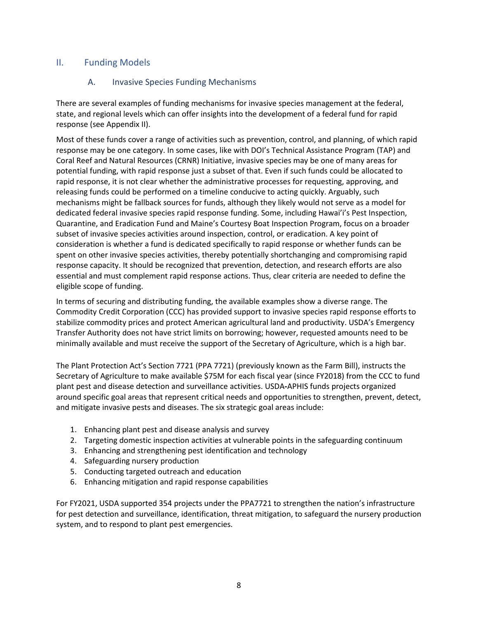## <span id="page-7-1"></span><span id="page-7-0"></span>II. Funding Models

## A. Invasive Species Funding Mechanisms

There are several examples of funding mechanisms for invasive species management at the federal, state, and regional levels which can offer insights into the development of a federal fund for rapid response (see Appendix II).

Most of these funds cover a range of activities such as prevention, control, and planning, of which rapid response may be one category. In some cases, like with DOI's Technical Assistance Program (TAP) and Coral Reef and Natural Resources (CRNR) Initiative, invasive species may be one of many areas for potential funding, with rapid response just a subset of that. Even if such funds could be allocated to rapid response, it is not clear whether the administrative processes for requesting, approving, and releasing funds could be performed on a timeline conducive to acting quickly. Arguably, such mechanisms might be fallback sources for funds, although they likely would not serve as a model for dedicated federal invasive species rapid response funding. Some, including Hawai'i's Pest Inspection, Quarantine, and Eradication Fund and Maine's Courtesy Boat Inspection Program, focus on a broader subset of invasive species activities around inspection, control, or eradication. A key point of consideration is whether a fund is dedicated specifically to rapid response or whether funds can be spent on other invasive species activities, thereby potentially shortchanging and compromising rapid response capacity. It should be recognized that prevention, detection, and research efforts are also essential and must complement rapid response actions. Thus, clear criteria are needed to define the eligible scope of funding.

In terms of securing and distributing funding, the available examples show a diverse range. The Commodity Credit Corporation (CCC) has provided support to invasive species rapid response efforts to stabilize commodity prices and protect American agricultural land and productivity. USDA's Emergency Transfer Authority does not have strict limits on borrowing; however, requested amounts need to be minimally available and must receive the support of the Secretary of Agriculture, which is a high bar.

The Plant Protection Act's Section 7721 (PPA 7721) (previously known as the Farm Bill), instructs the Secretary of Agriculture to make available \$75M for each fiscal year (since FY2018) from the CCC to fund plant pest and disease detection and surveillance activities. USDA**-**APHIS funds projects organized around specific goal areas that represent critical needs and opportunities to strengthen, prevent, detect, and mitigate invasive pests and diseases. The six strategic goal areas include:

- 1. Enhancing plant pest and disease analysis and survey
- 2. Targeting domestic inspection activities at vulnerable points in the safeguarding continuum
- 3. Enhancing and strengthening pest identification and technology
- 4. Safeguarding nursery production
- 5. Conducting targeted outreach and education
- 6. Enhancing mitigation and rapid response capabilities

For FY2021, USDA supported 354 projects under the PPA7721 to strengthen the nation's infrastructure for pest detection and surveillance, identification, threat mitigation, to safeguard the nursery production system, and to respond to plant pest emergencies.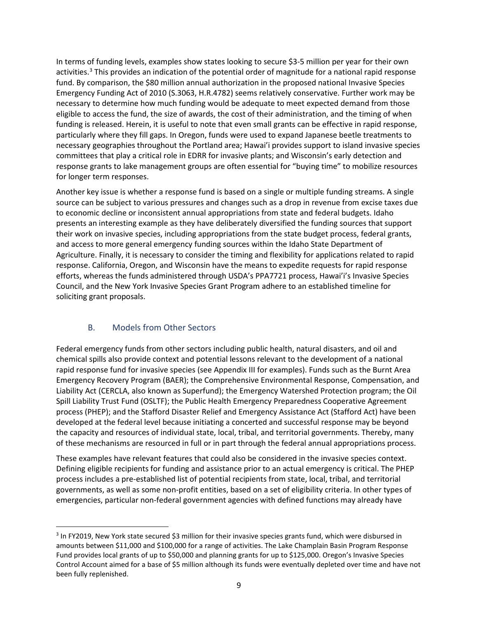In terms of funding levels, examples show states looking to secure \$3-5 million per year for their own activities.<sup>[3](#page-8-1)</sup> This provides an indication of the potential order of magnitude for a national rapid response fund. By comparison, the \$80 million annual authorization in the proposed national Invasive Species Emergency Funding Act of 2010 (S.3063, H.R.4782) seems relatively conservative. Further work may be necessary to determine how much funding would be adequate to meet expected demand from those eligible to access the fund, the size of awards, the cost of their administration, and the timing of when funding is released. Herein, it is useful to note that even small grants can be effective in rapid response, particularly where they fill gaps. In Oregon, funds were used to expand Japanese beetle treatments to necessary geographies throughout the Portland area; Hawai'i provides support to island invasive species committees that play a critical role in EDRR for invasive plants; and Wisconsin's early detection and response grants to lake management groups are often essential for "buying time" to mobilize resources for longer term responses.

Another key issue is whether a response fund is based on a single or multiple funding streams. A single source can be subject to various pressures and changes such as a drop in revenue from excise taxes due to economic decline or inconsistent annual appropriations from state and federal budgets. Idaho presents an interesting example as they have deliberately diversified the funding sources that support their work on invasive species, including appropriations from the state budget process, federal grants, and access to more general emergency funding sources within the Idaho State Department of Agriculture. Finally, it is necessary to consider the timing and flexibility for applications related to rapid response. California, Oregon, and Wisconsin have the means to expedite requests for rapid response efforts, whereas the funds administered through USDA's PPA7721 process, Hawai'i's Invasive Species Council, and the New York Invasive Species Grant Program adhere to an established timeline for soliciting grant proposals.

## B. Models from Other Sectors

<span id="page-8-0"></span>Federal emergency funds from other sectors including public health, natural disasters, and oil and chemical spills also provide context and potential lessons relevant to the development of a national rapid response fund for invasive species (see Appendix III for examples). Funds such as the Burnt Area Emergency Recovery Program (BAER); the Comprehensive Environmental Response, Compensation, and Liability Act (CERCLA, also known as Superfund); the Emergency Watershed Protection program; the Oil Spill Liability Trust Fund (OSLTF); the Public Health Emergency Preparedness Cooperative Agreement process (PHEP); and the Stafford Disaster Relief and Emergency Assistance Act (Stafford Act) have been developed at the federal level because initiating a concerted and successful response may be beyond the capacity and resources of individual state, local, tribal, and territorial governments. Thereby, many of these mechanisms are resourced in full or in part through the federal annual appropriations process.

These examples have relevant features that could also be considered in the invasive species context. Defining eligible recipients for funding and assistance prior to an actual emergency is critical. The PHEP process includes a pre-established list of potential recipients from state, local, tribal, and territorial governments, as well as some non-profit entities, based on a set of eligibility criteria. In other types of emergencies, particular non-federal government agencies with defined functions may already have

<span id="page-8-1"></span><sup>&</sup>lt;sup>3</sup> In FY2019, New York state secured \$3 million for their invasive species grants fund, which were disbursed in amounts between \$11,000 and \$100,000 for a range of activities. The Lake Champlain Basin Program Response Fund provides local grants of up to \$50,000 and planning grants for up to \$125,000. Oregon's Invasive Species Control Account aimed for a base of \$5 million although its funds were eventually depleted over time and have not been fully replenished.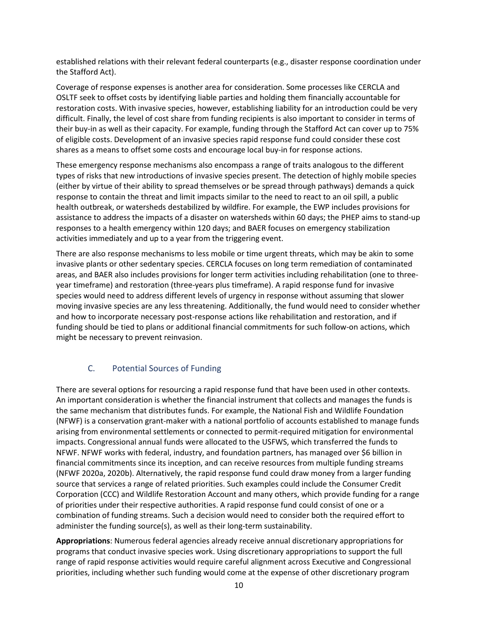established relations with their relevant federal counterparts (e.g., disaster response coordination under the Stafford Act).

Coverage of response expenses is another area for consideration. Some processes like CERCLA and OSLTF seek to offset costs by identifying liable parties and holding them financially accountable for restoration costs. With invasive species, however, establishing liability for an introduction could be very difficult. Finally, the level of cost share from funding recipients is also important to consider in terms of their buy-in as well as their capacity. For example, funding through the Stafford Act can cover up to 75% of eligible costs. Development of an invasive species rapid response fund could consider these cost shares as a means to offset some costs and encourage local buy-in for response actions.

These emergency response mechanisms also encompass a range of traits analogous to the different types of risks that new introductions of invasive species present. The detection of highly mobile species (either by virtue of their ability to spread themselves or be spread through pathways) demands a quick response to contain the threat and limit impacts similar to the need to react to an oil spill, a public health outbreak, or watersheds destabilized by wildfire. For example, the EWP includes provisions for assistance to address the impacts of a disaster on watersheds within 60 days; the PHEP aims to stand-up responses to a health emergency within 120 days; and BAER focuses on emergency stabilization activities immediately and up to a year from the triggering event.

There are also response mechanisms to less mobile or time urgent threats, which may be akin to some invasive plants or other sedentary species. CERCLA focuses on long term remediation of contaminated areas, and BAER also includes provisions for longer term activities including rehabilitation (one to threeyear timeframe) and restoration (three-years plus timeframe). A rapid response fund for invasive species would need to address different levels of urgency in response without assuming that slower moving invasive species are any less threatening. Additionally, the fund would need to consider whether and how to incorporate necessary post-response actions like rehabilitation and restoration, and if funding should be tied to plans or additional financial commitments for such follow-on actions, which might be necessary to prevent reinvasion.

## C. Potential Sources of Funding

<span id="page-9-0"></span>There are several options for resourcing a rapid response fund that have been used in other contexts. An important consideration is whether the financial instrument that collects and manages the funds is the same mechanism that distributes funds. For example, the National Fish and Wildlife Foundation (NFWF) is a conservation grant-maker with a national portfolio of accounts established to manage funds arising from environmental settlements or connected to permit-required mitigation for environmental impacts. Congressional annual funds were allocated to the USFWS, which transferred the funds to NFWF. NFWF works with federal, industry, and foundation partners, has managed over \$6 billion in financial commitments since its inception, and can receive resources from multiple funding streams (NFWF 2020a, 2020b). Alternatively, the rapid response fund could draw money from a larger funding source that services a range of related priorities. Such examples could include the Consumer Credit Corporation (CCC) and Wildlife Restoration Account and many others, which provide funding for a range of priorities under their respective authorities. A rapid response fund could consist of one or a combination of funding streams. Such a decision would need to consider both the required effort to administer the funding source(s), as well as their long-term sustainability.

**Appropriations**: Numerous federal agencies already receive annual discretionary appropriations for programs that conduct invasive species work. Using discretionary appropriations to support the full range of rapid response activities would require careful alignment across Executive and Congressional priorities, including whether such funding would come at the expense of other discretionary program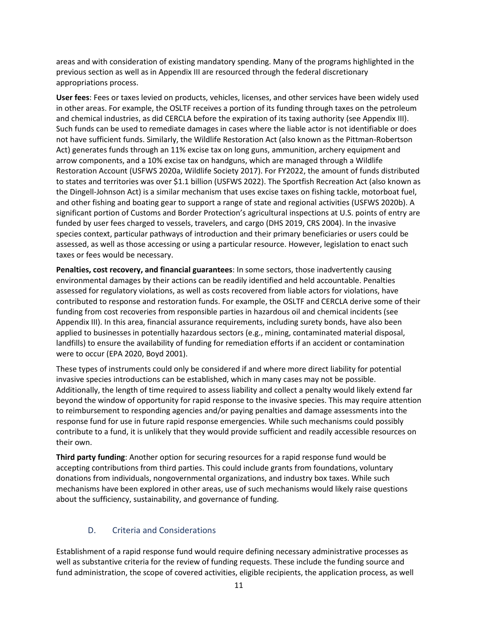areas and with consideration of existing mandatory spending. Many of the programs highlighted in the previous section as well as in Appendix III are resourced through the federal discretionary appropriations process.

**User fees**: Fees or taxes levied on products, vehicles, licenses, and other services have been widely used in other areas. For example, the OSLTF receives a portion of its funding through taxes on the petroleum and chemical industries, as did CERCLA before the expiration of its taxing authority (see Appendix III). Such funds can be used to remediate damages in cases where the liable actor is not identifiable or does not have sufficient funds. Similarly, the Wildlife Restoration Act (also known as the Pittman-Robertson Act) generates funds through an 11% excise tax on long guns, ammunition, archery equipment and arrow components, and a 10% excise tax on handguns, which are managed through a Wildlife Restoration Account (USFWS 2020a, Wildlife Society 2017). For FY2022, the amount of funds distributed to states and territories was over \$1.1 billion (USFWS 2022). The Sportfish Recreation Act (also known as the Dingell-Johnson Act) is a similar mechanism that uses excise taxes on fishing tackle, motorboat fuel, and other fishing and boating gear to support a range of state and regional activities (USFWS 2020b). A significant portion of Customs and Border Protection's agricultural inspections at U.S. points of entry are funded by user fees charged to vessels, travelers, and cargo (DHS 2019, CRS 2004). In the invasive species context, particular pathways of introduction and their primary beneficiaries or users could be assessed, as well as those accessing or using a particular resource. However, legislation to enact such taxes or fees would be necessary.

**Penalties, cost recovery, and financial guarantees**: In some sectors, those inadvertently causing environmental damages by their actions can be readily identified and held accountable. Penalties assessed for regulatory violations, as well as costs recovered from liable actors for violations, have contributed to response and restoration funds. For example, the OSLTF and CERCLA derive some of their funding from cost recoveries from responsible parties in hazardous oil and chemical incidents (see Appendix III). In this area, financial assurance requirements, including surety bonds, have also been applied to businesses in potentially hazardous sectors (e.g., mining, contaminated material disposal, landfills) to ensure the availability of funding for remediation efforts if an accident or contamination were to occur (EPA 2020, Boyd 2001).

These types of instruments could only be considered if and where more direct liability for potential invasive species introductions can be established, which in many cases may not be possible. Additionally, the length of time required to assess liability and collect a penalty would likely extend far beyond the window of opportunity for rapid response to the invasive species. This may require attention to reimbursement to responding agencies and/or paying penalties and damage assessments into the response fund for use in future rapid response emergencies. While such mechanisms could possibly contribute to a fund, it is unlikely that they would provide sufficient and readily accessible resources on their own.

**Third party funding**: Another option for securing resources for a rapid response fund would be accepting contributions from third parties. This could include grants from foundations, voluntary donations from individuals, nongovernmental organizations, and industry box taxes. While such mechanisms have been explored in other areas, use of such mechanisms would likely raise questions about the sufficiency, sustainability, and governance of funding.

## D. Criteria and Considerations

<span id="page-10-0"></span>Establishment of a rapid response fund would require defining necessary administrative processes as well as substantive criteria for the review of funding requests. These include the funding source and fund administration, the scope of covered activities, eligible recipients, the application process, as well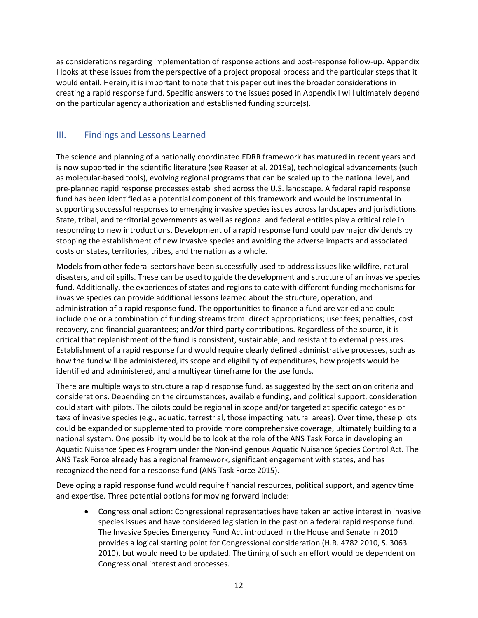as considerations regarding implementation of response actions and post-response follow-up. Appendix I looks at these issues from the perspective of a project proposal process and the particular steps that it would entail. Herein, it is important to note that this paper outlines the broader considerations in creating a rapid response fund. Specific answers to the issues posed in Appendix I will ultimately depend on the particular agency authorization and established funding source(s).

## <span id="page-11-0"></span>III. Findings and Lessons Learned

The science and planning of a nationally coordinated EDRR framework has matured in recent years and is now supported in the scientific literature (see Reaser et al. 2019a), technological advancements (such as molecular-based tools), evolving regional programs that can be scaled up to the national level, and pre-planned rapid response processes established across the U.S. landscape. A federal rapid response fund has been identified as a potential component of this framework and would be instrumental in supporting successful responses to emerging invasive species issues across landscapes and jurisdictions. State, tribal, and territorial governments as well as regional and federal entities play a critical role in responding to new introductions. Development of a rapid response fund could pay major dividends by stopping the establishment of new invasive species and avoiding the adverse impacts and associated costs on states, territories, tribes, and the nation as a whole.

Models from other federal sectors have been successfully used to address issues like wildfire, natural disasters, and oil spills. These can be used to guide the development and structure of an invasive species fund. Additionally, the experiences of states and regions to date with different funding mechanisms for invasive species can provide additional lessons learned about the structure, operation, and administration of a rapid response fund. The opportunities to finance a fund are varied and could include one or a combination of funding streams from: direct appropriations; user fees; penalties, cost recovery, and financial guarantees; and/or third-party contributions. Regardless of the source, it is critical that replenishment of the fund is consistent, sustainable, and resistant to external pressures. Establishment of a rapid response fund would require clearly defined administrative processes, such as how the fund will be administered, its scope and eligibility of expenditures, how projects would be identified and administered, and a multiyear timeframe for the use funds.

There are multiple ways to structure a rapid response fund, as suggested by the section on criteria and considerations. Depending on the circumstances, available funding, and political support, consideration could start with pilots. The pilots could be regional in scope and/or targeted at specific categories or taxa of invasive species (e.g., aquatic, terrestrial, those impacting natural areas). Over time, these pilots could be expanded or supplemented to provide more comprehensive coverage, ultimately building to a national system. One possibility would be to look at the role of the ANS Task Force in developing an Aquatic Nuisance Species Program under the Non-indigenous Aquatic Nuisance Species Control Act. The ANS Task Force already has a regional framework, significant engagement with states, and has recognized the need for a response fund (ANS Task Force 2015).

Developing a rapid response fund would require financial resources, political support, and agency time and expertise. Three potential options for moving forward include:

• Congressional action: Congressional representatives have taken an active interest in invasive species issues and have considered legislation in the past on a federal rapid response fund. The Invasive Species Emergency Fund Act introduced in the House and Senate in 2010 provides a logical starting point for Congressional consideration (H.R. 4782 2010, S. 3063 2010), but would need to be updated. The timing of such an effort would be dependent on Congressional interest and processes.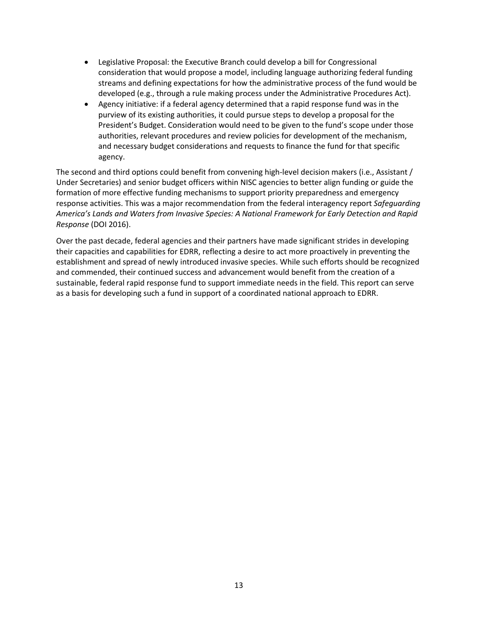- Legislative Proposal: the Executive Branch could develop a bill for Congressional consideration that would propose a model, including language authorizing federal funding streams and defining expectations for how the administrative process of the fund would be developed (e.g., through a rule making process under the Administrative Procedures Act).
- Agency initiative: if a federal agency determined that a rapid response fund was in the purview of its existing authorities, it could pursue steps to develop a proposal for the President's Budget. Consideration would need to be given to the fund's scope under those authorities, relevant procedures and review policies for development of the mechanism, and necessary budget considerations and requests to finance the fund for that specific agency.

The second and third options could benefit from convening high-level decision makers (i.e., Assistant / Under Secretaries) and senior budget officers within NISC agencies to better align funding or guide the formation of more effective funding mechanisms to support priority preparedness and emergency response activities. This was a major recommendation from the federal interagency report *Safeguarding America's Lands and Waters from Invasive Species: A National Framework for Early Detection and Rapid Response* (DOI 2016).

Over the past decade, federal agencies and their partners have made significant strides in developing their capacities and capabilities for EDRR, reflecting a desire to act more proactively in preventing the establishment and spread of newly introduced invasive species. While such efforts should be recognized and commended, their continued success and advancement would benefit from the creation of a sustainable, federal rapid response fund to support immediate needs in the field. This report can serve as a basis for developing such a fund in support of a coordinated national approach to EDRR.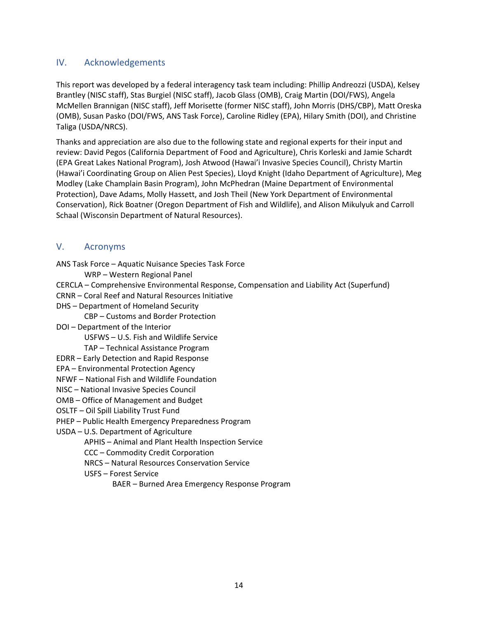## <span id="page-13-0"></span>IV. Acknowledgements

This report was developed by a federal interagency task team including: Phillip Andreozzi (USDA), Kelsey Brantley (NISC staff), Stas Burgiel (NISC staff), Jacob Glass (OMB), Craig Martin (DOI/FWS), Angela McMellen Brannigan (NISC staff), Jeff Morisette (former NISC staff), John Morris (DHS/CBP), Matt Oreska (OMB), Susan Pasko (DOI/FWS, ANS Task Force), Caroline Ridley (EPA), Hilary Smith (DOI), and Christine Taliga (USDA/NRCS).

Thanks and appreciation are also due to the following state and regional experts for their input and review: David Pegos (California Department of Food and Agriculture), Chris Korleski and Jamie Schardt (EPA Great Lakes National Program), Josh Atwood (Hawai'i Invasive Species Council), Christy Martin (Hawai'i Coordinating Group on Alien Pest Species), Lloyd Knight (Idaho Department of Agriculture), Meg Modley (Lake Champlain Basin Program), John McPhedran (Maine Department of Environmental Protection), Dave Adams, Molly Hassett, and Josh Theil (New York Department of Environmental Conservation), Rick Boatner (Oregon Department of Fish and Wildlife), and Alison Mikulyuk and Carroll Schaal (Wisconsin Department of Natural Resources).

## <span id="page-13-1"></span>V. Acronyms

ANS Task Force – Aquatic Nuisance Species Task Force

WRP – Western Regional Panel

- CERCLA Comprehensive Environmental Response, Compensation and Liability Act (Superfund)
- CRNR Coral Reef and Natural Resources Initiative
- DHS Department of Homeland Security

CBP – Customs and Border Protection

DOI – Department of the Interior

USFWS – U.S. Fish and Wildlife Service

TAP – Technical Assistance Program

EDRR – Early Detection and Rapid Response

EPA – Environmental Protection Agency

NFWF – National Fish and Wildlife Foundation

- NISC National Invasive Species Council
- OMB Office of Management and Budget

OSLTF – Oil Spill Liability Trust Fund

PHEP – Public Health Emergency Preparedness Program

USDA – U.S. Department of Agriculture

APHIS – Animal and Plant Health Inspection Service

- CCC Commodity Credit Corporation
- NRCS Natural Resources Conservation Service
- USFS Forest Service
	- BAER Burned Area Emergency Response Program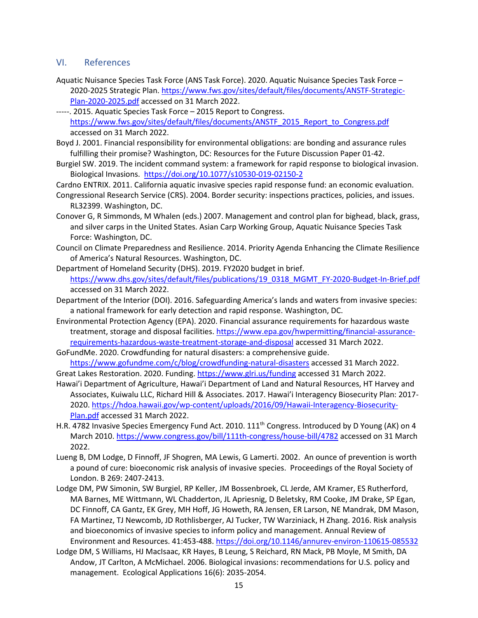## <span id="page-14-0"></span>VI. References

- Aquatic Nuisance Species Task Force (ANS Task Force). 2020. Aquatic Nuisance Species Task Force 2020-2025 Strategic Plan. [https://www.fws.gov/sites/default/files/documents/ANSTF-Strategic-](https://www.fws.gov/sites/default/files/documents/ANSTF-Strategic-Plan-2020-2025.pdf)[Plan-2020-2025.pdf](https://www.fws.gov/sites/default/files/documents/ANSTF-Strategic-Plan-2020-2025.pdf) accessed on 31 March 2022.
- -----. 2015. Aquatic Species Task Force 2015 Report to Congress. [https://www.fws.gov/sites/default/files/documents/ANSTF\\_2015\\_Report\\_to\\_Congress.pdf](https://www.fws.gov/sites/default/files/documents/ANSTF_2015_Report_to_Congress.pdf) accessed on 31 March 2022.
- Boyd J. 2001. Financial responsibility for environmental obligations: are bonding and assurance rules fulfilling their promise? Washington, DC: Resources for the Future Discussion Paper 01-42.
- Burgiel SW. 2019. The incident command system: a framework for rapid response to biological invasion. Biological Invasions.<https://doi.org/10.1077/s10530-019-02150-2>

Cardno ENTRIX. 2011. California aquatic invasive species rapid response fund: an economic evaluation.

- Congressional Research Service (CRS). 2004. Border security: inspections practices, policies, and issues. RL32399. Washington, DC.
- Conover G, R Simmonds, M Whalen (eds.) 2007. Management and control plan for bighead, black, grass, and silver carps in the United States. Asian Carp Working Group, Aquatic Nuisance Species Task Force: Washington, DC.
- Council on Climate Preparedness and Resilience. 2014. Priority Agenda Enhancing the Climate Resilience of America's Natural Resources. Washington, DC.
- Department of Homeland Security (DHS). 2019. FY2020 budget in brief. [https://www.dhs.gov/sites/default/files/publications/19\\_0318\\_MGMT\\_FY-2020-Budget-In-Brief.pdf](https://www.dhs.gov/sites/default/files/publications/19_0318_MGMT_FY-2020-Budget-In-Brief.pdf) accessed on 31 March 2022.
- Department of the Interior (DOI). 2016. Safeguarding America's lands and waters from invasive species: a national framework for early detection and rapid response. Washington, DC.
- Environmental Protection Agency (EPA). 2020. Financial assurance requirements for hazardous waste treatment, storage and disposal facilities. [https://www.epa.gov/hwpermitting/financial-assurance](https://www.epa.gov/hwpermitting/financial-assurance-requirements-hazardous-waste-treatment-storage-and-disposal)[requirements-hazardous-waste-treatment-storage-and-disposal](https://www.epa.gov/hwpermitting/financial-assurance-requirements-hazardous-waste-treatment-storage-and-disposal) accessed 31 March 2022.
- GoFundMe. 2020. Crowdfunding for natural disasters: a comprehensive guide. <https://www.gofundme.com/c/blog/crowdfunding-natural-disasters>accessed 31 March 2022.
- Great Lakes Restoration. 2020. Funding. [https://www.glri.us/funding a](https://www.glri.us/funding)ccessed 31 March 2022.
- Hawai'i Department of Agriculture, Hawai'i Department of Land and Natural Resources, HT Harvey and Associates, Kuiwalu LLC, Richard Hill & Associates. 2017. Hawai'i Interagency Biosecurity Plan: 2017- 2020[. https://hdoa.hawaii.gov/wp-content/uploads/2016/09/Hawaii-Interagency-Biosecurity-](https://hdoa.hawaii.gov/wp-content/uploads/2016/09/Hawaii-Interagency-Biosecurity-Plan.pdf)[Plan.pdf](https://hdoa.hawaii.gov/wp-content/uploads/2016/09/Hawaii-Interagency-Biosecurity-Plan.pdf) accessed 31 March 2022.
- H.R. 4782 Invasive Species Emergency Fund Act. 2010. 111<sup>th</sup> Congress. Introduced by D Young (AK) on 4 March 2010.<https://www.congress.gov/bill/111th-congress/house-bill/4782> accessed on 31 March 2022.
- Lueng B, DM Lodge, D Finnoff, JF Shogren, MA Lewis, G Lamerti. 2002. An ounce of prevention is worth a pound of cure: bioeconomic risk analysis of invasive species. Proceedings of the Royal Society of London. B 269: 2407-2413.
- Lodge DM, PW Simonin, SW Burgiel, RP Keller, JM Bossenbroek, CL Jerde, AM Kramer, ES Rutherford, MA Barnes, ME Wittmann, WL Chadderton, JL Apriesnig, D Beletsky, RM Cooke, JM Drake, SP Egan, DC Finnoff, CA Gantz, EK Grey, MH Hoff, JG Howeth, RA Jensen, ER Larson, NE Mandrak, DM Mason, FA Martinez, TJ Newcomb, JD Rothlisberger, AJ Tucker, TW Warziniack, H Zhang. 2016. Risk analysis and bioeconomics of invasive species to inform policy and management. Annual Review of Environment and Resources. 41:453-488[. https://doi.org/10.1146/annurev-environ-110615-085532](https://doi.org/10.1146/annurev-environ-110615-085532)
- Lodge DM, S Williams, HJ MacIsaac, KR Hayes, B Leung, S Reichard, RN Mack, PB Moyle, M Smith, DA Andow, JT Carlton, A McMichael. 2006. Biological invasions: recommendations for U.S. policy and management. Ecological Applications 16(6): 2035-2054.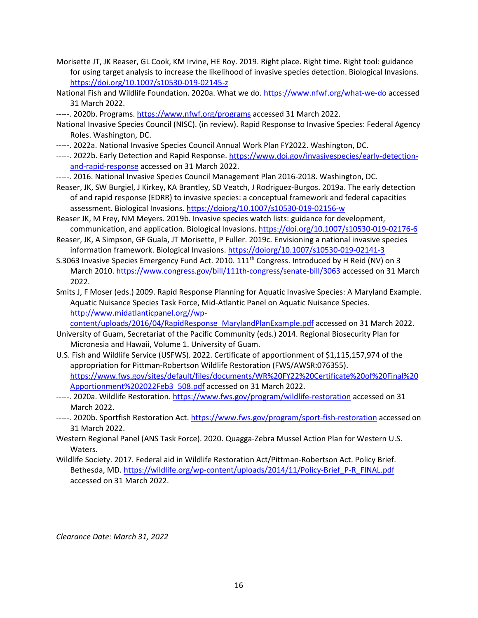- Morisette JT, JK Reaser, GL Cook, KM Irvine, HE Roy. 2019. Right place. Right time. Right tool: guidance for using target analysis to increase the likelihood of invasive species detection. Biological Invasions. <https://doi.org/10.1007/s10530-019-02145-z>
- National Fish and Wildlife Foundation. 2020a. What we do. [https://www.nfwf.org/what-we-do a](https://www.nfwf.org/what-we-do)ccessed 31 March 2022.
- -----. 2020b. Programs[. https://www.nfwf.org/programs](https://www.nfwf.org/programs) accessed 31 March 2022.
- National Invasive Species Council (NISC). (in review). Rapid Response to Invasive Species: Federal Agency Roles. Washington, DC.
- -----. 2022a. National Invasive Species Council Annual Work Plan FY2022. Washington, DC.
- -----. 2022b. Early Detection and Rapid Response[. https://www.doi.gov/invasivespecies/early-detection](https://www.doi.gov/invasivespecies/early-detection-and-rapid-response)[and-rapid-response](https://www.doi.gov/invasivespecies/early-detection-and-rapid-response) accessed on 31 March 2022.
- -----. 2016. National Invasive Species Council Management Plan 2016-2018. Washington, DC.
- Reaser, JK, SW Burgiel, J Kirkey, KA Brantley, SD Veatch, J Rodriguez-Burgos. 2019a. The early detection of and rapid response (EDRR) to invasive species: a conceptual framework and federal capacities assessment. Biological Invasions.<https://doiorg/10.1007/s10530-019-02156-w>
- Reaser JK, M Frey, NM Meyers. 2019b. Invasive species watch lists: guidance for development, communication, and application. Biological Invasions.<https://doi.org/10.1007/s10530-019-02176-6>
- Reaser, JK, A Simpson, GF Guala, JT Morisette, P Fuller. 2019c. Envisioning a national invasive species information framework. Biological Invasions.<https://doiorg/10.1007/s10530-019-02141-3>
- S.3063 Invasive Species Emergency Fund Act. 2010. 111th Congress. Introduced by H Reid (NV) on 3 March 2010.<https://www.congress.gov/bill/111th-congress/senate-bill/3063> accessed on 31 March 2022.
- Smits J, F Moser (eds.) 2009. Rapid Response Planning for Aquatic Invasive Species: A Maryland Example. Aquatic Nuisance Species Task Force, Mid-Atlantic Panel on Aquatic Nuisance Species. [http://www.midatlanticpanel.org//wp-](http://www.midatlanticpanel.org/wp-content/uploads/2016/04/RapidResponse_MarylandPlanExample.pdf)

[content/uploads/2016/04/RapidResponse\\_MarylandPlanExample.pdf](http://www.midatlanticpanel.org/wp-content/uploads/2016/04/RapidResponse_MarylandPlanExample.pdf) accessed on 31 March 2022.

- University of Guam, Secretariat of the Pacific Community (eds.) 2014. Regional Biosecurity Plan for Micronesia and Hawaii, Volume 1. University of Guam.
- U.S. Fish and Wildlife Service (USFWS). 2022. Certificate of apportionment of \$1,115,157,974 of the appropriation for Pittman-Robertson Wildlife Restoration (FWS/AWSR:076355). [https://www.fws.gov/sites/default/files/documents/WR%20FY22%20Certificate%20of%20Final%20](https://www.fws.gov/sites/default/files/documents/WR%20FY22%20Certificate%20of%20Final%20Apportionment%202022Feb3_508.pdf) [Apportionment%202022Feb3\\_508.pdf](https://www.fws.gov/sites/default/files/documents/WR%20FY22%20Certificate%20of%20Final%20Apportionment%202022Feb3_508.pdf) accessed on 31 March 2022.
- -----. 2020a. Wildlife Restoration.<https://www.fws.gov/program/wildlife-restoration> accessed on 31 March 2022.
- -----. 2020b. Sportfish Restoration Act[. https://www.fws.gov/program/sport-fish-restoration](https://www.fws.gov/program/sport-fish-restoration) accessed on 31 March 2022.
- Western Regional Panel (ANS Task Force). 2020. Quagga-Zebra Mussel Action Plan for Western U.S. Waters.
- Wildlife Society. 2017. Federal aid in Wildlife Restoration Act/Pittman-Robertson Act. Policy Brief. Bethesda, MD[. https://wildlife.org/wp-content/uploads/2014/11/Policy-Brief\\_P-R\\_FINAL.pdf](https://wildlife.org/wp-content/uploads/2014/11/Policy-Brief_P-R_FINAL.pdf) accessed on 31 March 2022.

*Clearance Date: March 31, 2022*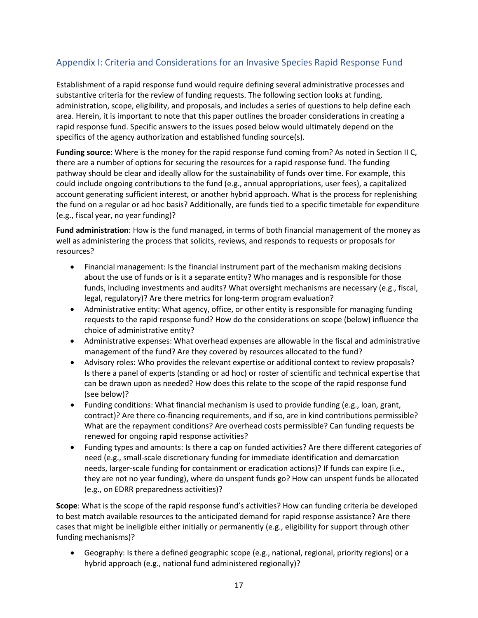## <span id="page-16-0"></span>Appendix I: Criteria and Considerations for an Invasive Species Rapid Response Fund

Establishment of a rapid response fund would require defining several administrative processes and substantive criteria for the review of funding requests. The following section looks at funding, administration, scope, eligibility, and proposals, and includes a series of questions to help define each area. Herein, it is important to note that this paper outlines the broader considerations in creating a rapid response fund. Specific answers to the issues posed below would ultimately depend on the specifics of the agency authorization and established funding source(s).

**Funding source**: Where is the money for the rapid response fund coming from? As noted in Section II C, there are a number of options for securing the resources for a rapid response fund. The funding pathway should be clear and ideally allow for the sustainability of funds over time. For example, this could include ongoing contributions to the fund (e.g., annual appropriations, user fees), a capitalized account generating sufficient interest, or another hybrid approach. What is the process for replenishing the fund on a regular or ad hoc basis? Additionally, are funds tied to a specific timetable for expenditure (e.g., fiscal year, no year funding)?

**Fund administration**: How is the fund managed, in terms of both financial management of the money as well as administering the process that solicits, reviews, and responds to requests or proposals for resources?

- Financial management: Is the financial instrument part of the mechanism making decisions about the use of funds or is it a separate entity? Who manages and is responsible for those funds, including investments and audits? What oversight mechanisms are necessary (e.g., fiscal, legal, regulatory)? Are there metrics for long-term program evaluation?
- Administrative entity: What agency, office, or other entity is responsible for managing funding requests to the rapid response fund? How do the considerations on scope (below) influence the choice of administrative entity?
- Administrative expenses: What overhead expenses are allowable in the fiscal and administrative management of the fund? Are they covered by resources allocated to the fund?
- Advisory roles: Who provides the relevant expertise or additional context to review proposals? Is there a panel of experts (standing or ad hoc) or roster of scientific and technical expertise that can be drawn upon as needed? How does this relate to the scope of the rapid response fund (see below)?
- Funding conditions: What financial mechanism is used to provide funding (e.g., loan, grant, contract)? Are there co-financing requirements, and if so, are in kind contributions permissible? What are the repayment conditions? Are overhead costs permissible? Can funding requests be renewed for ongoing rapid response activities?
- Funding types and amounts: Is there a cap on funded activities? Are there different categories of need (e.g., small-scale discretionary funding for immediate identification and demarcation needs, larger-scale funding for containment or eradication actions)? If funds can expire (i.e., they are not no year funding), where do unspent funds go? How can unspent funds be allocated (e.g., on EDRR preparedness activities)?

**Scope**: What is the scope of the rapid response fund's activities? How can funding criteria be developed to best match available resources to the anticipated demand for rapid response assistance? Are there cases that might be ineligible either initially or permanently (e.g., eligibility for support through other funding mechanisms)?

• Geography: Is there a defined geographic scope (e.g., national, regional, priority regions) or a hybrid approach (e.g., national fund administered regionally)?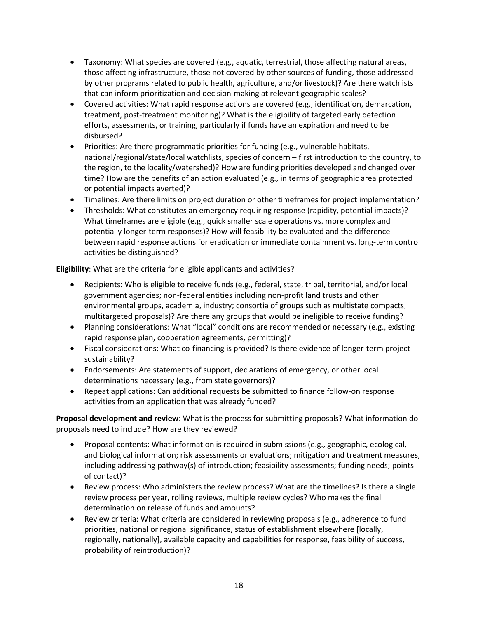- Taxonomy: What species are covered (e.g., aquatic, terrestrial, those affecting natural areas, those affecting infrastructure, those not covered by other sources of funding, those addressed by other programs related to public health, agriculture, and/or livestock)? Are there watchlists that can inform prioritization and decision-making at relevant geographic scales?
- Covered activities: What rapid response actions are covered (e.g., identification, demarcation, treatment, post-treatment monitoring)? What is the eligibility of targeted early detection efforts, assessments, or training, particularly if funds have an expiration and need to be disbursed?
- Priorities: Are there programmatic priorities for funding (e.g., vulnerable habitats, national/regional/state/local watchlists, species of concern – first introduction to the country, to the region, to the locality/watershed)? How are funding priorities developed and changed over time? How are the benefits of an action evaluated (e.g., in terms of geographic area protected or potential impacts averted)?
- Timelines: Are there limits on project duration or other timeframes for project implementation?
- Thresholds: What constitutes an emergency requiring response (rapidity, potential impacts)? What timeframes are eligible (e.g., quick smaller scale operations vs. more complex and potentially longer-term responses)? How will feasibility be evaluated and the difference between rapid response actions for eradication or immediate containment vs. long-term control activities be distinguished?

**Eligibility**: What are the criteria for eligible applicants and activities?

- Recipients: Who is eligible to receive funds (e.g., federal, state, tribal, territorial, and/or local government agencies; non-federal entities including non-profit land trusts and other environmental groups, academia, industry; consortia of groups such as multistate compacts, multitargeted proposals)? Are there any groups that would be ineligible to receive funding?
- Planning considerations: What "local" conditions are recommended or necessary (e.g., existing rapid response plan, cooperation agreements, permitting)?
- Fiscal considerations: What co-financing is provided? Is there evidence of longer-term project sustainability?
- Endorsements: Are statements of support, declarations of emergency, or other local determinations necessary (e.g., from state governors)?
- Repeat applications: Can additional requests be submitted to finance follow-on response activities from an application that was already funded?

**Proposal development and review**: What is the process for submitting proposals? What information do proposals need to include? How are they reviewed?

- Proposal contents: What information is required in submissions (e.g., geographic, ecological, and biological information; risk assessments or evaluations; mitigation and treatment measures, including addressing pathway(s) of introduction; feasibility assessments; funding needs; points of contact)?
- Review process: Who administers the review process? What are the timelines? Is there a single review process per year, rolling reviews, multiple review cycles? Who makes the final determination on release of funds and amounts?
- Review criteria: What criteria are considered in reviewing proposals (e.g., adherence to fund priorities, national or regional significance, status of establishment elsewhere [locally, regionally, nationally], available capacity and capabilities for response, feasibility of success, probability of reintroduction)?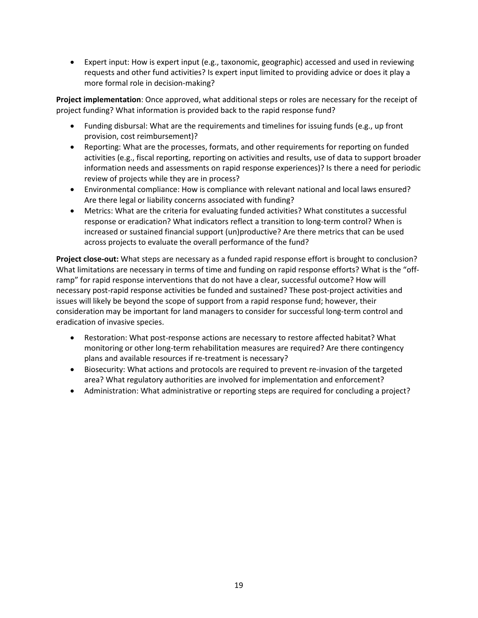• Expert input: How is expert input (e.g., taxonomic, geographic) accessed and used in reviewing requests and other fund activities? Is expert input limited to providing advice or does it play a more formal role in decision-making?

**Project implementation**: Once approved, what additional steps or roles are necessary for the receipt of project funding? What information is provided back to the rapid response fund?

- Funding disbursal: What are the requirements and timelines for issuing funds (e.g., up front provision, cost reimbursement)?
- Reporting: What are the processes, formats, and other requirements for reporting on funded activities (e.g., fiscal reporting, reporting on activities and results, use of data to support broader information needs and assessments on rapid response experiences)? Is there a need for periodic review of projects while they are in process?
- Environmental compliance: How is compliance with relevant national and local laws ensured? Are there legal or liability concerns associated with funding?
- Metrics: What are the criteria for evaluating funded activities? What constitutes a successful response or eradication? What indicators reflect a transition to long-term control? When is increased or sustained financial support (un)productive? Are there metrics that can be used across projects to evaluate the overall performance of the fund?

**Project close-out:** What steps are necessary as a funded rapid response effort is brought to conclusion? What limitations are necessary in terms of time and funding on rapid response efforts? What is the "offramp" for rapid response interventions that do not have a clear, successful outcome? How will necessary post-rapid response activities be funded and sustained? These post-project activities and issues will likely be beyond the scope of support from a rapid response fund; however, their consideration may be important for land managers to consider for successful long-term control and eradication of invasive species.

- Restoration: What post-response actions are necessary to restore affected habitat? What monitoring or other long-term rehabilitation measures are required? Are there contingency plans and available resources if re-treatment is necessary?
- Biosecurity: What actions and protocols are required to prevent re-invasion of the targeted area? What regulatory authorities are involved for implementation and enforcement?
- Administration: What administrative or reporting steps are required for concluding a project?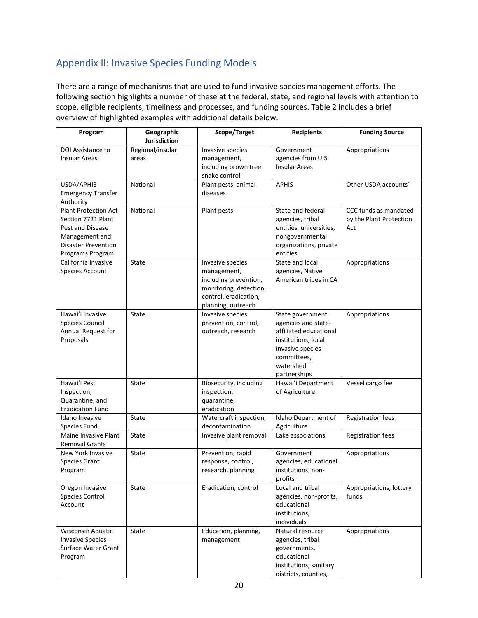## <span id="page-19-0"></span>Appendix II: Invasive Species Funding Models

There are a range of mechanisms that are used to fund invasive species management efforts. The following section highlights a number of these at the federal, state, and regional levels with attention to scope, eligible recipients, timeliness and processes, and funding sources. Table 2 includes a brief overview of highlighted examples with additional details below.

| Program                                                                                                                                   | Geographic<br>Jurisdiction | Scope/Target                                                                                                                      | <b>Recipients</b>                                                                                                                                        | <b>Funding Source</b>                                   |
|-------------------------------------------------------------------------------------------------------------------------------------------|----------------------------|-----------------------------------------------------------------------------------------------------------------------------------|----------------------------------------------------------------------------------------------------------------------------------------------------------|---------------------------------------------------------|
| DOI Assistance to<br><b>Insular Areas</b>                                                                                                 | Regional/insular<br>areas  | Invasive species<br>management,<br>including brown tree<br>snake control                                                          | Government<br>agencies from U.S.<br><b>Insular Areas</b>                                                                                                 | Appropriations                                          |
| USDA/APHIS<br><b>Emergency Transfer</b><br>Authority                                                                                      | National                   | Plant pests, animal<br>diseases                                                                                                   | <b>APHIS</b>                                                                                                                                             | Other USDA accounts'                                    |
| <b>Plant Protection Act</b><br>Section 7721 Plant<br>Pest and Disease<br>Management and<br><b>Disaster Prevention</b><br>Programs Program | National                   | Plant pests                                                                                                                       | State and federal<br>agencies, tribal<br>entities, universities,<br>nongovernmental<br>organizations, private<br>entities                                | CCC funds as mandated<br>by the Plant Protection<br>Act |
| California Invasive<br>Species Account                                                                                                    | State                      | Invasive species<br>management,<br>including prevention,<br>monitoring, detection,<br>control, eradication,<br>planning, outreach | State and local<br>agencies, Native<br>American tribes in CA                                                                                             | Appropriations                                          |
| Hawai'i Invasive<br><b>Species Council</b><br>Annual Request for<br>Proposals                                                             | State                      | Invasive species<br>prevention, control,<br>outreach, research                                                                    | State government<br>agencies and state-<br>affiliated educational<br>institutions, local<br>invasive species<br>committees,<br>watershed<br>partnerships | Appropriations                                          |
| Hawai'i Pest<br>Inspection,<br>Quarantine, and<br><b>Eradication Fund</b>                                                                 | State                      | Biosecurity, including<br>inspection,<br>quarantine,<br>eradication                                                               | Hawai'i Department<br>of Agriculture                                                                                                                     | Vessel cargo fee                                        |
| Idaho Invasive<br>Species Fund                                                                                                            | State                      | Watercraft inspection,<br>decontamination                                                                                         | Idaho Department of<br>Agriculture                                                                                                                       | Registration fees                                       |
| Maine Invasive Plant<br><b>Removal Grants</b>                                                                                             | State                      | Invasive plant removal                                                                                                            | Lake associations                                                                                                                                        | <b>Registration fees</b>                                |
| New York Invasive<br>Species Grant<br>Program                                                                                             | <b>State</b>               | Prevention, rapid<br>response, control,<br>research, planning                                                                     | Government<br>agencies, educational<br>institutions, non-<br>profits                                                                                     | Appropriations                                          |
| Oregon Invasive<br>Species Control<br>Account                                                                                             | State                      | Eradication, control                                                                                                              | Local and tribal<br>agencies, non-profits,<br>educational<br>institutions,<br>individuals                                                                | Appropriations, lottery<br>funds                        |
| <b>Wisconsin Aquatic</b><br><b>Invasive Species</b><br>Surface Water Grant<br>Program                                                     | State                      | Education, planning,<br>management                                                                                                | Natural resource<br>agencies, tribal<br>governments,<br>educational<br>institutions, sanitary<br>districts, counties,                                    | Appropriations                                          |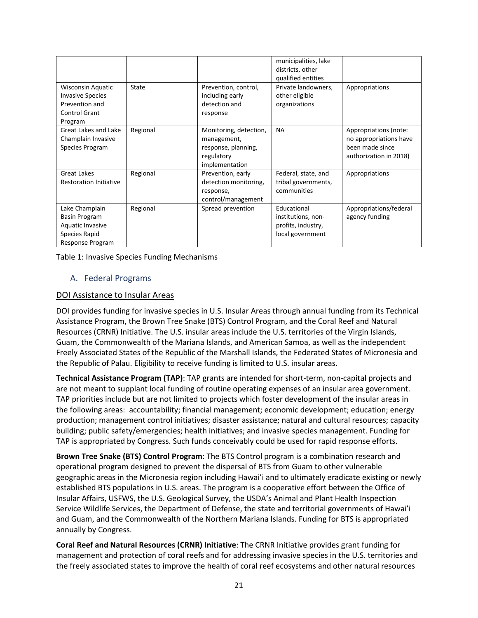|                                                                                                          |          |                                                                                              | municipalities, lake<br>districts, other<br>qualified entities              |                                                                                              |
|----------------------------------------------------------------------------------------------------------|----------|----------------------------------------------------------------------------------------------|-----------------------------------------------------------------------------|----------------------------------------------------------------------------------------------|
| <b>Wisconsin Aquatic</b><br><b>Invasive Species</b><br>Prevention and<br><b>Control Grant</b><br>Program | State    | Prevention, control,<br>including early<br>detection and<br>response                         | Private landowners,<br>other eligible<br>organizations                      | Appropriations                                                                               |
| Great Lakes and Lake<br>Champlain Invasive<br>Species Program                                            | Regional | Monitoring, detection,<br>management,<br>response, planning,<br>regulatory<br>implementation | <b>NA</b>                                                                   | Appropriations (note:<br>no appropriations have<br>been made since<br>authorization in 2018) |
| <b>Great Lakes</b><br><b>Restoration Initiative</b>                                                      | Regional | Prevention, early<br>detection monitoring,<br>response,<br>control/management                | Federal, state, and<br>tribal governments,<br>communities                   | Appropriations                                                                               |
| Lake Champlain<br><b>Basin Program</b><br>Aquatic Invasive<br>Species Rapid<br>Response Program          | Regional | Spread prevention                                                                            | Educational<br>institutions, non-<br>profits, industry,<br>local government | Appropriations/federal<br>agency funding                                                     |

Table 1: Invasive Species Funding Mechanisms

## <span id="page-20-0"></span>A. Federal Programs

#### DOI Assistance to Insular Areas

DOI provides funding for invasive species in U.S. Insular Areas through annual funding from its Technical Assistance Program, the Brown Tree Snake (BTS) Control Program, and the Coral Reef and Natural Resources (CRNR) Initiative. The U.S. insular areas include the U.S. territories of the Virgin Islands, Guam, the Commonwealth of the Mariana Islands, and American Samoa, as well as the independent Freely Associated States of the Republic of the Marshall Islands, the Federated States of Micronesia and the Republic of Palau. Eligibility to receive funding is limited to U.S. insular areas.

**Technical Assistance Program (TAP)**: TAP grants are intended for short-term, non-capital projects and are not meant to supplant local funding of routine operating expenses of an insular area government. TAP priorities include but are not limited to projects which foster development of the insular areas in the following areas: accountability; financial management; economic development; education; energy production; management control initiatives; disaster assistance; natural and cultural resources; capacity building; public safety/emergencies; health initiatives; and invasive species management. Funding for TAP is appropriated by Congress. Such funds conceivably could be used for rapid response efforts.

**Brown Tree Snake (BTS) Control Program**: The BTS Control program is a combination research and operational program designed to prevent the dispersal of BTS from Guam to other vulnerable geographic areas in the Micronesia region including Hawai'i and to ultimately eradicate existing or newly established BTS populations in U.S. areas. The program is a cooperative effort between the Office of Insular Affairs, USFWS, the U.S. Geological Survey, the USDA's Animal and Plant Health Inspection Service Wildlife Services, the Department of Defense, the state and territorial governments of Hawai'i and Guam, and the Commonwealth of the Northern Mariana Islands. Funding for BTS is appropriated annually by Congress.

**Coral Reef and Natural Resources (CRNR) Initiative**: The CRNR Initiative provides grant funding for management and protection of coral reefs and for addressing invasive species in the U.S. territories and the freely associated states to improve the health of coral reef ecosystems and other natural resources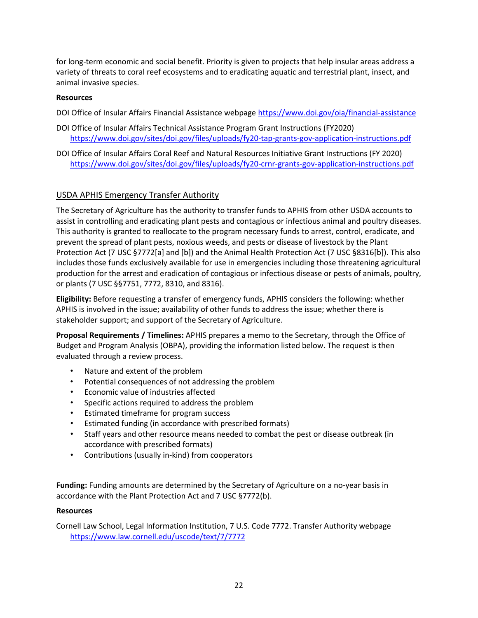for long-term economic and social benefit. Priority is given to projects that help insular areas address a variety of threats to coral reef ecosystems and to eradicating aquatic and terrestrial plant, insect, and animal invasive species.

## **Resources**

DOI Office of Insular Affairs Financial Assistance webpage <https://www.doi.gov/oia/financial-assistance>

- DOI Office of Insular Affairs Technical Assistance Program Grant Instructions (FY2020) <https://www.doi.gov/sites/doi.gov/files/uploads/fy20-tap-grants-gov-application-instructions.pdf>
- DOI Office of Insular Affairs Coral Reef and Natural Resources Initiative Grant Instructions (FY 2020) <https://www.doi.gov/sites/doi.gov/files/uploads/fy20-crnr-grants-gov-application-instructions.pdf>

## USDA APHIS Emergency Transfer Authority

The Secretary of Agriculture has the authority to transfer funds to APHIS from other USDA accounts to assist in controlling and eradicating plant pests and contagious or infectious animal and poultry diseases. This authority is granted to reallocate to the program necessary funds to arrest, control, eradicate, and prevent the spread of plant pests, noxious weeds, and pests or disease of livestock by the Plant Protection Act (7 USC §7772[a] and [b]) and the Animal Health Protection Act (7 USC §8316[b]). This also includes those funds exclusively available for use in emergencies including those threatening agricultural production for the arrest and eradication of contagious or infectious disease or pests of animals, poultry, or plants (7 USC §§7751, 7772, 8310, and 8316).

**Eligibility:** Before requesting a transfer of emergency funds, APHIS considers the following: whether APHIS is involved in the issue; availability of other funds to address the issue; whether there is stakeholder support; and support of the Secretary of Agriculture.

**Proposal Requirements / Timelines:** APHIS prepares a memo to the Secretary, through the Office of Budget and Program Analysis (OBPA), providing the information listed below. The request is then evaluated through a review process.

- Nature and extent of the problem
- Potential consequences of not addressing the problem
- Economic value of industries affected
- Specific actions required to address the problem
- Estimated timeframe for program success
- Estimated funding (in accordance with prescribed formats)
- Staff years and other resource means needed to combat the pest or disease outbreak (in accordance with prescribed formats)
- Contributions (usually in-kind) from cooperators

**Funding:** Funding amounts are determined by the Secretary of Agriculture on a no-year basis in accordance with the Plant Protection Act and 7 USC §7772(b).

#### **Resources**

Cornell Law School, Legal Information Institution, 7 U.S. Code 7772. Transfer Authority webpage <https://www.law.cornell.edu/uscode/text/7/7772>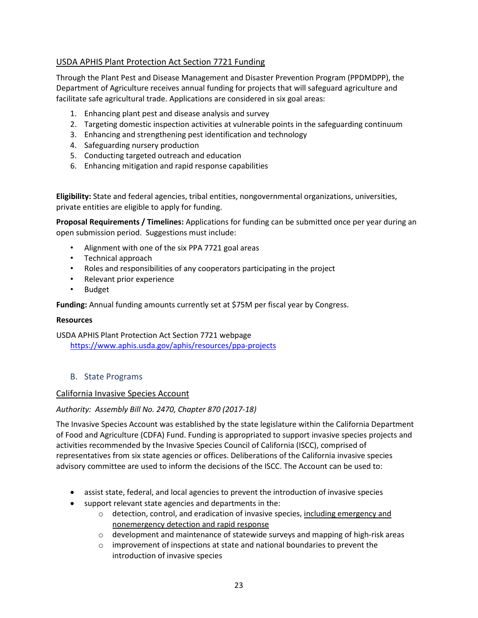## USDA APHIS Plant Protection Act Section 7721 Funding

Through the Plant Pest and Disease Management and Disaster Prevention Program (PPDMDPP), the Department of Agriculture receives annual funding for projects that will safeguard agriculture and facilitate safe agricultural trade. Applications are considered in six goal areas:

- 1. Enhancing plant pest and disease analysis and survey
- 2. Targeting domestic inspection activities at vulnerable points in the safeguarding continuum
- 3. Enhancing and strengthening pest identification and technology
- 4. Safeguarding nursery production
- 5. Conducting targeted outreach and education
- 6. Enhancing mitigation and rapid response capabilities

**Eligibility:** State and federal agencies, tribal entities, nongovernmental organizations, universities, private entities are eligible to apply for funding.

**Proposal Requirements / Timelines:** Applications for funding can be submitted once per year during an open submission period.Suggestions must include:

- Alignment with one of the six PPA 7721 goal areas
- Technical approach
- Roles and responsibilities of any cooperators participating in the project
- Relevant prior experience
- Budget

**Funding:** Annual funding amounts currently set at \$75M per fiscal year by Congress.

#### **Resources**

USDA APHIS Plant Protection Act Section 7721 webpage <https://www.aphis.usda.gov/aphis/resources/ppa-projects>

#### <span id="page-22-0"></span>B. State Programs

#### California Invasive Species Account

#### *Authority: Assembly Bill No. 2470, Chapter 870 (2017-18)*

The Invasive Species Account was established by the state legislature within the California Department of Food and Agriculture (CDFA) Fund. Funding is appropriated to support invasive species projects and activities recommended by the Invasive Species Council of California (ISCC), comprised of representatives from six state agencies or offices. Deliberations of the California invasive species advisory committee are used to inform the decisions of the ISCC. The Account can be used to:

- assist state, federal, and local agencies to prevent the introduction of invasive species
- support relevant state agencies and departments in the:
	- o detection, control, and eradication of invasive species, including emergency and nonemergency detection and rapid response
	- o development and maintenance of statewide surveys and mapping of high-risk areas
	- o improvement of inspections at state and national boundaries to prevent the introduction of invasive species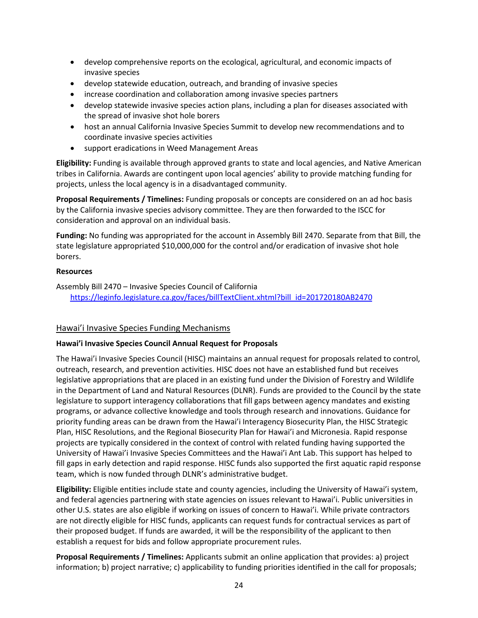- develop comprehensive reports on the ecological, agricultural, and economic impacts of invasive species
- develop statewide education, outreach, and branding of invasive species
- increase coordination and collaboration among invasive species partners
- develop statewide invasive species action plans, including a plan for diseases associated with the spread of invasive shot hole borers
- host an annual California Invasive Species Summit to develop new recommendations and to coordinate invasive species activities
- support eradications in Weed Management Areas

**Eligibility:** Funding is available through approved grants to state and local agencies, and Native American tribes in California. Awards are contingent upon local agencies' ability to provide matching funding for projects, unless the local agency is in a disadvantaged community.

**Proposal Requirements / Timelines:** Funding proposals or concepts are considered on an ad hoc basis by the California invasive species advisory committee. They are then forwarded to the ISCC for consideration and approval on an individual basis.

**Funding:** No funding was appropriated for the account in Assembly Bill 2470. Separate from that Bill, the state legislature appropriated \$10,000,000 for the control and/or eradication of invasive shot hole borers.

#### **Resources**

Assembly Bill 2470 – Invasive Species Council of California [https://leginfo.legislature.ca.gov/faces/billTextClient.xhtml?bill\\_id=201720180AB2470](https://leginfo.legislature.ca.gov/faces/billTextClient.xhtml?bill_id=201720180AB2470)

#### Hawai'i Invasive Species Funding Mechanisms

#### **Hawai'i Invasive Species Council Annual Request for Proposals**

The Hawai'i Invasive Species Council (HISC) maintains an annual request for proposals related to control, outreach, research, and prevention activities. HISC does not have an established fund but receives legislative appropriations that are placed in an existing fund under the Division of Forestry and Wildlife in the Department of Land and Natural Resources (DLNR). Funds are provided to the Council by the state legislature to support interagency collaborations that fill gaps between agency mandates and existing programs, or advance collective knowledge and tools through research and innovations. Guidance for priority funding areas can be drawn from the Hawai'i Interagency Biosecurity Plan, the HISC Strategic Plan, HISC Resolutions, and the Regional Biosecurity Plan for Hawai'i and Micronesia. Rapid response projects are typically considered in the context of control with related funding having supported the University of Hawai'i Invasive Species Committees and the Hawai'i Ant Lab. This support has helped to fill gaps in early detection and rapid response. HISC funds also supported the first aquatic rapid response team, which is now funded through DLNR's administrative budget.

**Eligibility:** Eligible entities include state and county agencies, including the University of Hawai'i system, and federal agencies partnering with state agencies on issues relevant to Hawai'i. Public universities in other U.S. states are also eligible if working on issues of concern to Hawai'i. While private contractors are not directly eligible for HISC funds, applicants can request funds for contractual services as part of their proposed budget. If funds are awarded, it will be the responsibility of the applicant to then establish a request for bids and follow appropriate procurement rules.

**Proposal Requirements / Timelines:** Applicants submit an online application that provides: a) project information; b) project narrative; c) applicability to funding priorities identified in the call for proposals;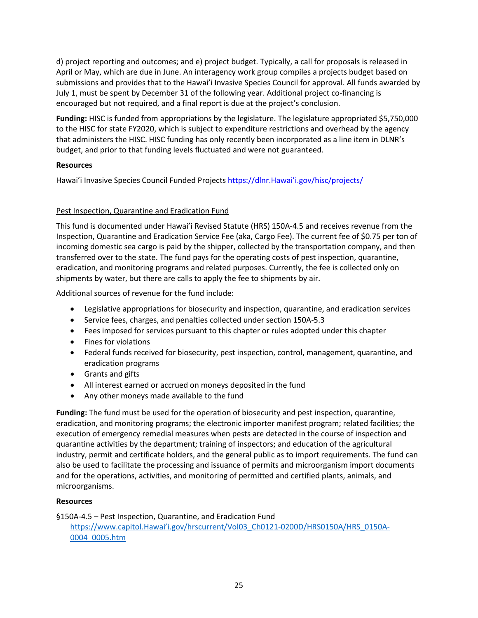d) project reporting and outcomes; and e) project budget. Typically, a call for proposals is released in April or May, which are due in June. An interagency work group compiles a projects budget based on submissions and provides that to the Hawai'i Invasive Species Council for approval. All funds awarded by July 1, must be spent by December 31 of the following year. Additional project co-financing is encouraged but not required, and a final report is due at the project's conclusion.

**Funding:** HISC is funded from appropriations by the legislature. The legislature appropriated \$5,750,000 to the HISC for state FY2020, which is subject to expenditure restrictions and overhead by the agency that administers the HISC. HISC funding has only recently been incorporated as a line item in DLNR's budget, and prior to that funding levels fluctuated and were not guaranteed.

## **Resources**

Hawai'i Invasive Species Council Funded Projects [https://dlnr.Hawai'i.gov/hisc/projects/](https://dlnr.hawai%E2%80%99i.gov/hisc/projects/)

## Pest Inspection, Quarantine and Eradication Fund

This fund is documented under Hawai'i Revised Statute (HRS) 150A-4.5 and receives revenue from the Inspection, Quarantine and Eradication Service Fee (aka, Cargo Fee). The current fee of \$0.75 per ton of incoming domestic sea cargo is paid by the shipper, collected by the transportation company, and then transferred over to the state. The fund pays for the operating costs of pest inspection, quarantine, eradication, and monitoring programs and related purposes. Currently, the fee is collected only on shipments by water, but there are calls to apply the fee to shipments by air.

Additional sources of revenue for the fund include:

- Legislative appropriations for biosecurity and inspection, quarantine, and eradication services
- Service fees, charges, and penalties collected under section 150A-5.3
- Fees imposed for services pursuant to this chapter or rules adopted under this chapter
- Fines for violations
- Federal funds received for biosecurity, pest inspection, control, management, quarantine, and eradication programs
- Grants and gifts
- All interest earned or accrued on moneys deposited in the fund
- Any other moneys made available to the fund

**Funding:** The fund must be used for the operation of biosecurity and pest inspection, quarantine, eradication, and monitoring programs; the electronic importer manifest program; related facilities; the execution of emergency remedial measures when pests are detected in the course of inspection and quarantine activities by the department; training of inspectors; and education of the agricultural industry, permit and certificate holders, and the general public as to import requirements. The fund can also be used to facilitate the processing and issuance of permits and microorganism import documents and for the operations, activities, and monitoring of permitted and certified plants, animals, and microorganisms.

## **Resources**

§150A-4.5 – Pest Inspection, Quarantine, and Eradication Fund [https://www.capitol.Hawai'i.gov/hrscurrent/Vol03\\_Ch0121-0200D/HRS0150A/HRS\\_0150A-](https://www.capitol.hawaii.gov/hrscurrent/Vol03_Ch0121-0200D/HRS0150A/HRS_0150A-0004_0005.htm)[0004\\_0005.htm](https://www.capitol.hawaii.gov/hrscurrent/Vol03_Ch0121-0200D/HRS0150A/HRS_0150A-0004_0005.htm)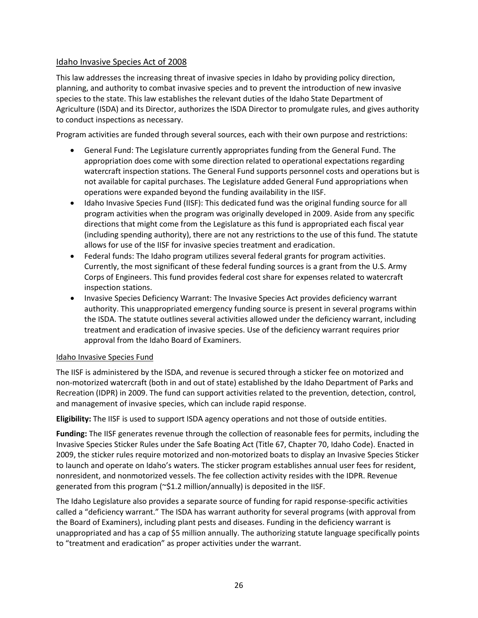## Idaho Invasive Species Act of 2008

This law addresses the increasing threat of invasive species in Idaho by providing policy direction, planning, and authority to combat invasive species and to prevent the introduction of new invasive species to the state. This law establishes the relevant duties of the Idaho State Department of Agriculture (ISDA) and its Director, authorizes the ISDA Director to promulgate rules, and gives authority to conduct inspections as necessary.

Program activities are funded through several sources, each with their own purpose and restrictions:

- General Fund: The Legislature currently appropriates funding from the General Fund. The appropriation does come with some direction related to operational expectations regarding watercraft inspection stations. The General Fund supports personnel costs and operations but is not available for capital purchases. The Legislature added General Fund appropriations when operations were expanded beyond the funding availability in the IISF.
- Idaho Invasive Species Fund (IISF): This dedicated fund was the original funding source for all program activities when the program was originally developed in 2009. Aside from any specific directions that might come from the Legislature as this fund is appropriated each fiscal year (including spending authority), there are not any restrictions to the use of this fund. The statute allows for use of the IISF for invasive species treatment and eradication.
- Federal funds: The Idaho program utilizes several federal grants for program activities. Currently, the most significant of these federal funding sources is a grant from the U.S. Army Corps of Engineers. This fund provides federal cost share for expenses related to watercraft inspection stations.
- Invasive Species Deficiency Warrant: The Invasive Species Act provides deficiency warrant authority. This unappropriated emergency funding source is present in several programs within the ISDA. The statute outlines several activities allowed under the deficiency warrant, including treatment and eradication of invasive species. Use of the deficiency warrant requires prior approval from the Idaho Board of Examiners.

## Idaho Invasive Species Fund

The IISF is administered by the ISDA, and revenue is secured through a sticker fee on motorized and non-motorized watercraft (both in and out of state) established by the Idaho Department of Parks and Recreation (IDPR) in 2009. The fund can support activities related to the prevention, detection, control, and management of invasive species, which can include rapid response.

**Eligibility:** The IISF is used to support ISDA agency operations and not those of outside entities.

**Funding:** The IISF generates revenue through the collection of reasonable fees for permits, including the Invasive Species Sticker Rules under the Safe Boating Act (Title 67, Chapter 70, Idaho Code). Enacted in 2009, the sticker rules require motorized and non-motorized boats to display an Invasive Species Sticker to launch and operate on Idaho's waters. The sticker program establishes annual user fees for resident, nonresident, and nonmotorized vessels. The fee collection activity resides with the IDPR. Revenue generated from this program (~\$1.2 million/annually) is deposited in the IISF.

The Idaho Legislature also provides a separate source of funding for rapid response-specific activities called a "deficiency warrant." The ISDA has warrant authority for several programs (with approval from the Board of Examiners), including plant pests and diseases. Funding in the deficiency warrant is unappropriated and has a cap of \$5 million annually. The authorizing statute language specifically points to "treatment and eradication" as proper activities under the warrant.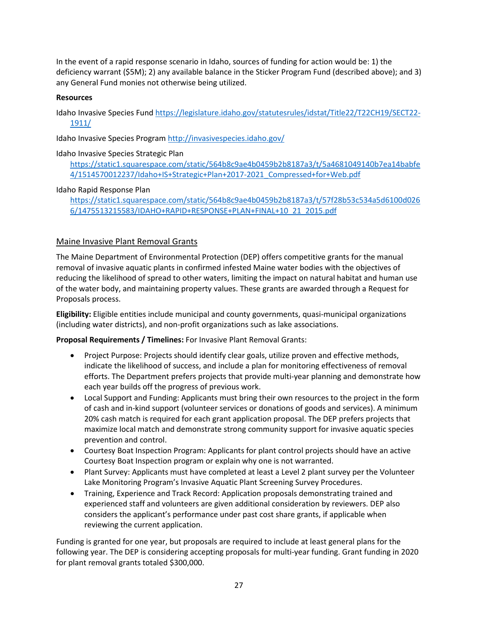In the event of a rapid response scenario in Idaho, sources of funding for action would be: 1) the deficiency warrant (\$5M); 2) any available balance in the Sticker Program Fund (described above); and 3) any General Fund monies not otherwise being utilized.

## **Resources**

Idaho Invasive Species Fund [https://legislature.idaho.gov/statutesrules/idstat/Title22/T22CH19/SECT22-](https://legislature.idaho.gov/statutesrules/idstat/Title22/T22CH19/SECT22-1911/) [1911/](https://legislature.idaho.gov/statutesrules/idstat/Title22/T22CH19/SECT22-1911/)

Idaho Invasive Species Program<http://invasivespecies.idaho.gov/>

## Idaho Invasive Species Strategic Plan

[https://static1.squarespace.com/static/564b8c9ae4b0459b2b8187a3/t/5a4681049140b7ea14babfe](https://static1.squarespace.com/static/564b8c9ae4b0459b2b8187a3/t/5a4681049140b7ea14babfe4/1514570012237/Idaho+IS+Strategic+Plan+2017-2021_Compressed+for+Web.pdf) [4/1514570012237/Idaho+IS+Strategic+Plan+2017-2021\\_Compressed+for+Web.pdf](https://static1.squarespace.com/static/564b8c9ae4b0459b2b8187a3/t/5a4681049140b7ea14babfe4/1514570012237/Idaho+IS+Strategic+Plan+2017-2021_Compressed+for+Web.pdf)

## Idaho Rapid Response Plan

[https://static1.squarespace.com/static/564b8c9ae4b0459b2b8187a3/t/57f28b53c534a5d6100d026](https://static1.squarespace.com/static/564b8c9ae4b0459b2b8187a3/t/57f28b53c534a5d6100d0266/1475513215583/IDAHO+RAPID+RESPONSE+PLAN+FINAL+10_21_2015.pdf) [6/1475513215583/IDAHO+RAPID+RESPONSE+PLAN+FINAL+10\\_21\\_2015.pdf](https://static1.squarespace.com/static/564b8c9ae4b0459b2b8187a3/t/57f28b53c534a5d6100d0266/1475513215583/IDAHO+RAPID+RESPONSE+PLAN+FINAL+10_21_2015.pdf)

## Maine Invasive Plant Removal Grants

The Maine Department of Environmental Protection (DEP) offers competitive grants for the manual removal of invasive aquatic plants in confirmed infested Maine water bodies with the objectives of reducing the likelihood of spread to other waters, limiting the impact on natural habitat and human use of the water body, and maintaining property values. These grants are awarded through a Request for Proposals process.

**Eligibility:** Eligible entities include municipal and county governments, quasi-municipal organizations (including water districts), and non-profit organizations such as lake associations.

**Proposal Requirements / Timelines:** For Invasive Plant Removal Grants:

- Project Purpose: Projects should identify clear goals, utilize proven and effective methods, indicate the likelihood of success, and include a plan for monitoring effectiveness of removal efforts. The Department prefers projects that provide multi-year planning and demonstrate how each year builds off the progress of previous work.
- Local Support and Funding: Applicants must bring their own resources to the project in the form of cash and in-kind support (volunteer services or donations of goods and services). A minimum 20% cash match is required for each grant application proposal. The DEP prefers projects that maximize local match and demonstrate strong community support for invasive aquatic species prevention and control.
- Courtesy Boat Inspection Program: Applicants for plant control projects should have an active Courtesy Boat Inspection program or explain why one is not warranted.
- Plant Survey: Applicants must have completed at least a Level 2 plant survey per the Volunteer Lake Monitoring Program's Invasive Aquatic Plant Screening Survey Procedures.
- Training, Experience and Track Record: Application proposals demonstrating trained and experienced staff and volunteers are given additional consideration by reviewers. DEP also considers the applicant's performance under past cost share grants, if applicable when reviewing the current application.

Funding is granted for one year, but proposals are required to include at least general plans for the following year. The DEP is considering accepting proposals for multi-year funding. Grant funding in 2020 for plant removal grants totaled \$300,000.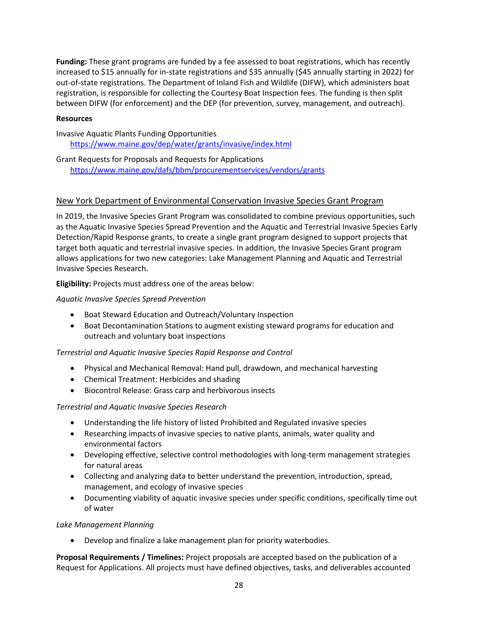**Funding:** These grant programs are funded by a fee assessed to boat registrations, which has recently increased to \$15 annually for in-state registrations and \$35 annually (\$45 annually starting in 2022) for out-of-state registrations. The Department of Inland Fish and Wildlife (DIFW), which administers boat registration, is responsible for collecting the Courtesy Boat Inspection fees. The funding is then split between DIFW (for enforcement) and the DEP (for prevention, survey, management, and outreach).

#### **Resources**

## Invasive Aquatic Plants Funding Opportunities <https://www.maine.gov/dep/water/grants/invasive/index.html>

Grant Requests for Proposals and Requests for Applications <https://www.maine.gov/dafs/bbm/procurementservices/vendors/grants>

## New York Department of Environmental Conservation Invasive Species Grant Program

In 2019, the Invasive Species Grant Program was consolidated to combine previous opportunities, such as the Aquatic Invasive Species Spread Prevention and the Aquatic and Terrestrial Invasive Species Early Detection/Rapid Response grants, to create a single grant program designed to support projects that target both aquatic and terrestrial invasive species. In addition, the Invasive Species Grant program allows applications for two new categories: Lake Management Planning and Aquatic and Terrestrial Invasive Species Research.

**Eligibility:** Projects must address one of the areas below:

## *Aquatic Invasive Species Spread Prevention*

- Boat Steward Education and Outreach/Voluntary Inspection
- Boat Decontamination Stations to augment existing steward programs for education and outreach and voluntary boat inspections

#### *Terrestrial and Aquatic Invasive Species Rapid Response and Control*

- Physical and Mechanical Removal: Hand pull, drawdown, and mechanical harvesting
- Chemical Treatment: Herbicides and shading
- Biocontrol Release: Grass carp and herbivorous insects

#### *Terrestrial and Aquatic Invasive Species Research*

- Understanding the life history of listed Prohibited and Regulated invasive species
- Researching impacts of invasive species to native plants, animals, water quality and environmental factors
- Developing effective, selective control methodologies with long-term management strategies for natural areas
- Collecting and analyzing data to better understand the prevention, introduction, spread, management, and ecology of invasive species
- Documenting viability of aquatic invasive species under specific conditions, specifically time out of water

#### *Lake Management Planning*

• Develop and finalize a lake management plan for priority waterbodies.

**Proposal Requirements / Timelines:** Project proposals are accepted based on the publication of a Request for Applications. All projects must have defined objectives, tasks, and deliverables accounted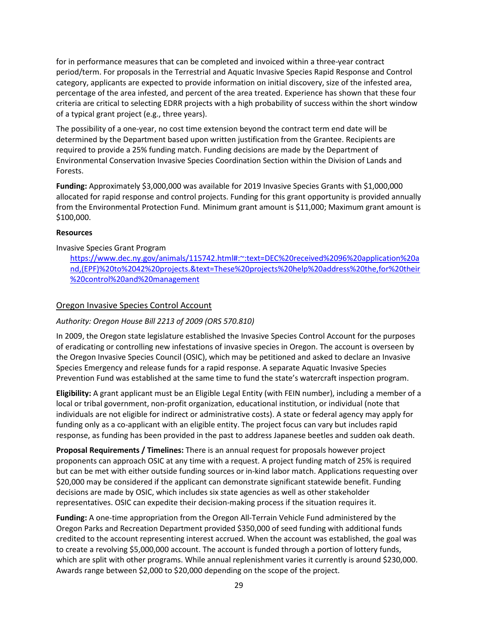for in performance measures that can be completed and invoiced within a three-year contract period/term. For proposals in the Terrestrial and Aquatic Invasive Species Rapid Response and Control category, applicants are expected to provide information on initial discovery, size of the infested area, percentage of the area infested, and percent of the area treated. Experience has shown that these four criteria are critical to selecting EDRR projects with a high probability of success within the short window of a typical grant project (e.g., three years).

The possibility of a one-year, no cost time extension beyond the contract term end date will be determined by the Department based upon written justification from the Grantee. Recipients are required to provide a 25% funding match. Funding decisions are made by the Department of Environmental Conservation Invasive Species Coordination Section within the Division of Lands and Forests.

**Funding:** Approximately \$3,000,000 was available for 2019 Invasive Species Grants with \$1,000,000 allocated for rapid response and control projects. Funding for this grant opportunity is provided annually from the Environmental Protection Fund. Minimum grant amount is \$11,000; Maximum grant amount is \$100,000.

#### **Resources**

## Invasive Species Grant Program

[https://www.dec.ny.gov/animals/115742.html#:~:text=DEC%20received%2096%20application%20a](https://www.dec.ny.gov/animals/115742.html#:%7E:text=DEC%20received%2096%20application%20and,(EPF)%20to%2042%20projects.&text=These%20projects%20help%20address%20the,for%20their%20control%20and%20management.) [nd,\(EPF\)%20to%2042%20projects.&text=These%20projects%20help%20address%20the,for%20their](https://www.dec.ny.gov/animals/115742.html#:%7E:text=DEC%20received%2096%20application%20and,(EPF)%20to%2042%20projects.&text=These%20projects%20help%20address%20the,for%20their%20control%20and%20management.) [%20control%20and%20management](https://www.dec.ny.gov/animals/115742.html#:%7E:text=DEC%20received%2096%20application%20and,(EPF)%20to%2042%20projects.&text=These%20projects%20help%20address%20the,for%20their%20control%20and%20management.)

## Oregon Invasive Species Control Account

## *Authority: Oregon House Bill 2213 of 2009 (ORS 570.810)*

In 2009, the Oregon state legislature established the Invasive Species Control Account for the purposes of eradicating or controlling new infestations of invasive species in Oregon. The account is overseen by the Oregon Invasive Species Council (OSIC), which may be petitioned and asked to declare an Invasive Species Emergency and release funds for a rapid response. A separate Aquatic Invasive Species Prevention Fund was established at the same time to fund the state's watercraft inspection program.

**Eligibility:** A grant applicant must be an Eligible Legal Entity (with FEIN number), including a member of a local or tribal government, non-profit organization, educational institution, or individual (note that individuals are not eligible for indirect or administrative costs). A state or federal agency may apply for funding only as a co-applicant with an eligible entity. The project focus can vary but includes rapid response, as funding has been provided in the past to address Japanese beetles and sudden oak death.

**Proposal Requirements / Timelines:** There is an annual request for proposals however project proponents can approach OSIC at any time with a request. A project funding match of 25% is required but can be met with either outside funding sources or in-kind labor match. Applications requesting over \$20,000 may be considered if the applicant can demonstrate significant statewide benefit. Funding decisions are made by OSIC, which includes six state agencies as well as other stakeholder representatives. OSIC can expedite their decision-making process if the situation requires it.

**Funding:** A one-time appropriation from the Oregon All-Terrain Vehicle Fund administered by the Oregon Parks and Recreation Department provided \$350,000 of seed funding with additional funds credited to the account representing interest accrued. When the account was established, the goal was to create a revolving \$5,000,000 account. The account is funded through a portion of lottery funds, which are split with other programs. While annual replenishment varies it currently is around \$230,000. Awards range between \$2,000 to \$20,000 depending on the scope of the project.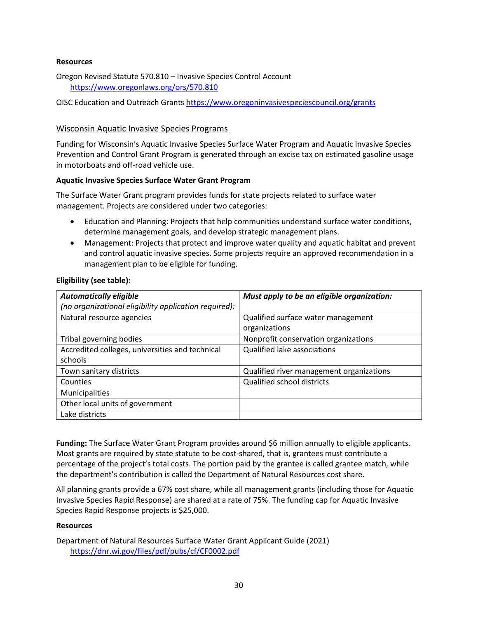#### **Resources**

Oregon Revised Statute 570.810 – Invasive Species Control Account <https://www.oregonlaws.org/ors/570.810>

OISC Education and Outreach Grant[s https://www.oregoninvasivespeciescouncil.org/grants](https://www.oregoninvasivespeciescouncil.org/grants)

## Wisconsin Aquatic Invasive Species Programs

Funding for Wisconsin's Aquatic Invasive Species Surface Water Program and Aquatic Invasive Species Prevention and Control Grant Program is generated through an excise tax on estimated gasoline usage in motorboats and off-road vehicle use.

#### **Aquatic Invasive Species Surface Water Grant Program**

The Surface Water Grant program provides funds for state projects related to surface water management. Projects are considered under two categories:

- Education and Planning: Projects that help communities understand surface water conditions, determine management goals, and develop strategic management plans.
- Management: Projects that protect and improve water quality and aquatic habitat and prevent and control aquatic invasive species. Some projects require an approved recommendation in a management plan to be eligible for funding.

#### **Eligibility (see table):**

| <b>Automatically eligible</b>                         | Must apply to be an eligible organization: |
|-------------------------------------------------------|--------------------------------------------|
| (no organizational eligibility application required): |                                            |
| Natural resource agencies                             | Qualified surface water management         |
|                                                       | organizations                              |
| Tribal governing bodies                               | Nonprofit conservation organizations       |
| Accredited colleges, universities and technical       | Qualified lake associations                |
| schools                                               |                                            |
| Town sanitary districts                               | Qualified river management organizations   |
| Counties                                              | <b>Qualified school districts</b>          |
| Municipalities                                        |                                            |
| Other local units of government                       |                                            |
| Lake districts                                        |                                            |

**Funding:** The Surface Water Grant Program provides around \$6 million annually to eligible applicants. Most grants are required by state statute to be cost-shared, that is, grantees must contribute a percentage of the project's total costs. The portion paid by the grantee is called grantee match, while the department's contribution is called the Department of Natural Resources cost share.

All planning grants provide a 67% cost share, while all management grants (including those for Aquatic Invasive Species Rapid Response) are shared at a rate of 75%. The funding cap for Aquatic Invasive Species Rapid Response projects is \$25,000.

#### **Resources**

Department of Natural Resources Surface Water Grant Applicant Guide (2021) <https://dnr.wi.gov/files/pdf/pubs/cf/CF0002.pdf>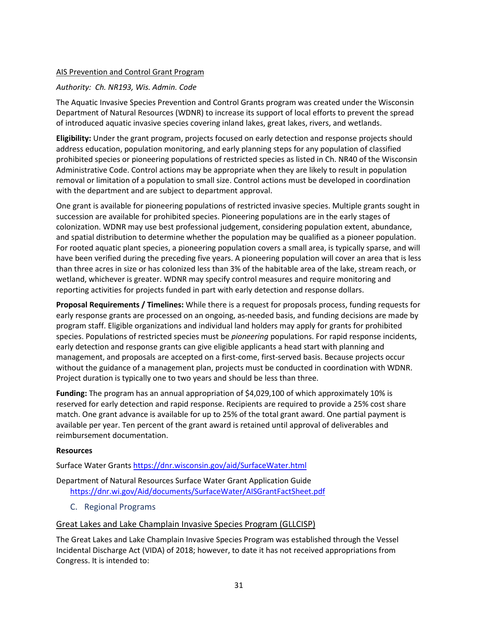## AIS Prevention and Control Grant Program

## *Authority: Ch. NR193, Wis. Admin. Code*

The Aquatic Invasive Species Prevention and Control Grants program was created under the Wisconsin Department of Natural Resources (WDNR) to increase its support of local efforts to prevent the spread of introduced aquatic invasive species covering inland lakes, great lakes, rivers, and wetlands.

**Eligibility:** Under the grant program, projects focused on early detection and response projects should address education, population monitoring, and early planning steps for any population of classified prohibited species or pioneering populations of restricted species as listed in Ch. NR40 of the Wisconsin Administrative Code. Control actions may be appropriate when they are likely to result in population removal or limitation of a population to small size. Control actions must be developed in coordination with the department and are subject to department approval.

One grant is available for pioneering populations of restricted invasive species. Multiple grants sought in succession are available for prohibited species. Pioneering populations are in the early stages of colonization. WDNR may use best professional judgement, considering population extent, abundance, and spatial distribution to determine whether the population may be qualified as a pioneer population. For rooted aquatic plant species, a pioneering population covers a small area, is typically sparse, and will have been verified during the preceding five years. A pioneering population will cover an area that is less than three acres in size or has colonized less than 3% of the habitable area of the lake, stream reach, or wetland, whichever is greater. WDNR may specify control measures and require monitoring and reporting activities for projects funded in part with early detection and response dollars.

**Proposal Requirements / Timelines:** While there is a request for proposals process, funding requests for early response grants are processed on an ongoing, as-needed basis, and funding decisions are made by program staff. Eligible organizations and individual land holders may apply for grants for prohibited species. Populations of restricted species must be *pioneering* populations. For rapid response incidents, early detection and response grants can give eligible applicants a head start with planning and management, and proposals are accepted on a first-come, first-served basis. Because projects occur without the guidance of a management plan, projects must be conducted in coordination with WDNR. Project duration is typically one to two years and should be less than three.

**Funding:** The program has an annual appropriation of \$4,029,100 of which approximately 10% is reserved for early detection and rapid response. Recipients are required to provide a 25% cost share match. One grant advance is available for up to 25% of the total grant award. One partial payment is available per year. Ten percent of the grant award is retained until approval of deliverables and reimbursement documentation.

#### **Resources**

Surface Water Grant[s https://dnr.wisconsin.gov/aid/SurfaceWater.html](https://dnr.wisconsin.gov/aid/SurfaceWater.html)

Department of Natural Resources Surface Water Grant Application Guide <https://dnr.wi.gov/Aid/documents/SurfaceWater/AISGrantFactSheet.pdf>

<span id="page-30-0"></span>C. Regional Programs

#### Great Lakes and Lake Champlain Invasive Species Program (GLLCISP)

The Great Lakes and Lake Champlain Invasive Species Program was established through the Vessel Incidental Discharge Act (VIDA) of 2018; however, to date it has not received appropriations from Congress. It is intended to: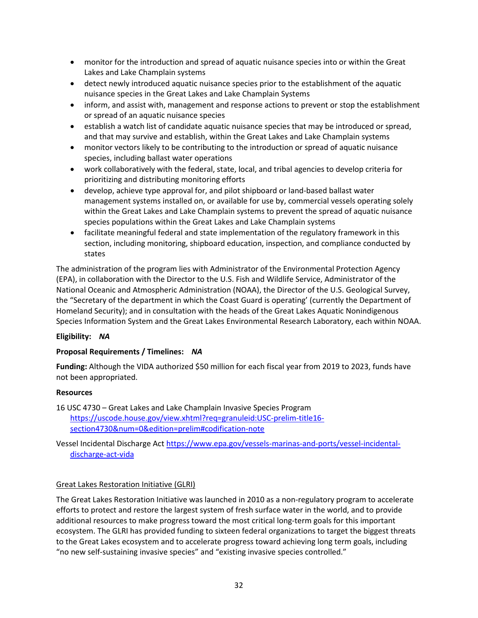- monitor for the introduction and spread of aquatic nuisance species into or within the Great Lakes and Lake Champlain systems
- detect newly introduced aquatic nuisance species prior to the establishment of the aquatic nuisance species in the Great Lakes and Lake Champlain Systems
- inform, and assist with, management and response actions to prevent or stop the establishment or spread of an aquatic nuisance species
- establish a watch list of candidate aquatic nuisance species that may be introduced or spread, and that may survive and establish, within the Great Lakes and Lake Champlain systems
- monitor vectors likely to be contributing to the introduction or spread of aquatic nuisance species, including ballast water operations
- work collaboratively with the federal, state, local, and tribal agencies to develop criteria for prioritizing and distributing monitoring efforts
- develop, achieve type approval for, and pilot shipboard or land-based ballast water management systems installed on, or available for use by, commercial vessels operating solely within the Great Lakes and Lake Champlain systems to prevent the spread of aquatic nuisance species populations within the Great Lakes and Lake Champlain systems
- facilitate meaningful federal and state implementation of the regulatory framework in this section, including monitoring, shipboard education, inspection, and compliance conducted by states

The administration of the program lies with Administrator of the Environmental Protection Agency (EPA), in collaboration with the Director to the U.S. Fish and Wildlife Service, Administrator of the National Oceanic and Atmospheric Administration (NOAA), the Director of the U.S. Geological Survey, the "Secretary of the department in which the Coast Guard is operating' (currently the Department of Homeland Security); and in consultation with the heads of the Great Lakes Aquatic Nonindigenous Species Information System and the Great Lakes Environmental Research Laboratory, each within NOAA.

## **Eligibility:** *NA*

## **Proposal Requirements / Timelines:** *NA*

**Funding:** Although the VIDA authorized \$50 million for each fiscal year from 2019 to 2023, funds have not been appropriated.

#### **Resources**

16 USC 4730 – Great Lakes and Lake Champlain Invasive Species Program [https://uscode.house.gov/view.xhtml?req=granuleid:USC-prelim-title16](https://uscode.house.gov/view.xhtml?req=granuleid:USC-prelim-title16-section4730&num=0&edition=prelim#codification-note) [section4730&num=0&edition=prelim#codification-note](https://uscode.house.gov/view.xhtml?req=granuleid:USC-prelim-title16-section4730&num=0&edition=prelim#codification-note)

Vessel Incidental Discharge Act [https://www.epa.gov/vessels-marinas-and-ports/vessel-incidental](https://www.epa.gov/vessels-marinas-and-ports/vessel-incidental-discharge-act-vida)[discharge-act-vida](https://www.epa.gov/vessels-marinas-and-ports/vessel-incidental-discharge-act-vida) 

## Great Lakes Restoration Initiative (GLRI)

The Great Lakes Restoration Initiative was launched in 2010 as a non-regulatory program to accelerate efforts to protect and restore the largest system of fresh surface water in the world, and to provide additional resources to make progress toward the most critical long-term goals for this important ecosystem. The GLRI has provided funding to sixteen federal organizations to target the biggest threats to the Great Lakes ecosystem and to accelerate progress toward achieving long term goals, including "no new self-sustaining invasive species" and "existing invasive species controlled."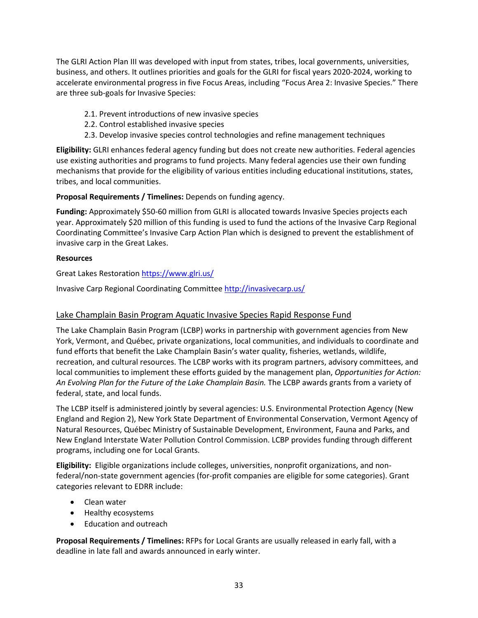The GLRI Action Plan III was developed with input from states, tribes, local governments, universities, business, and others. It outlines priorities and goals for the GLRI for fiscal years 2020-2024, working to accelerate environmental progress in five Focus Areas, including "Focus Area 2: Invasive Species." There are three sub-goals for Invasive Species:

- 2.1. Prevent introductions of new invasive species
- 2.2. Control established invasive species
- 2.3. Develop invasive species control technologies and refine management techniques

**Eligibility:** GLRI enhances federal agency funding but does not create new authorities. Federal agencies use existing authorities and programs to fund projects. Many federal agencies use their own funding mechanisms that provide for the eligibility of various entities including educational institutions, states, tribes, and local communities.

**Proposal Requirements / Timelines:** Depends on funding agency.

**Funding:** Approximately \$50-60 million from GLRI is allocated towards Invasive Species projects each year. Approximately \$20 million of this funding is used to fund the actions of the Invasive Carp Regional Coordinating Committee's Invasive Carp Action Plan which is designed to prevent the establishment of invasive carp in the Great Lakes.

#### **Resources**

Great Lakes Restoratio[n https://www.glri.us/](https://www.glri.us/) 

Invasive Carp Regional Coordinating Committee <http://invasivecarp.us/>

## Lake Champlain Basin Program Aquatic Invasive Species Rapid Response Fund

The Lake Champlain Basin Program (LCBP) works in partnership with government agencies from New York, Vermont, and Québec, private organizations, local communities, and individuals to coordinate and fund efforts that benefit the Lake Champlain Basin's water quality, fisheries, wetlands, wildlife, recreation, and cultural resources. The LCBP works with its program partners, advisory committees, and local communities to implement these efforts guided by the management plan, *Opportunities for Action: An Evolving Plan for the Future of the Lake Champlain Basin.* The LCBP awards grants from a variety of federal, state, and local funds.

The LCBP itself is administered jointly by several agencies: U.S. Environmental Protection Agency (New England and Region 2), New York State Department of Environmental Conservation, Vermont Agency of Natural Resources, Québec Ministry of Sustainable Development, Environment, Fauna and Parks, and New England Interstate Water Pollution Control Commission. LCBP provides funding through different programs, including one for Local Grants.

**Eligibility:** Eligible organizations include colleges, universities, nonprofit organizations, and nonfederal/non-state government agencies (for-profit companies are eligible for some categories). Grant categories relevant to EDRR include:

- Clean water
- Healthy ecosystems
- Education and outreach

**Proposal Requirements / Timelines:** RFPs for Local Grants are usually released in early fall, with a deadline in late fall and awards announced in early winter.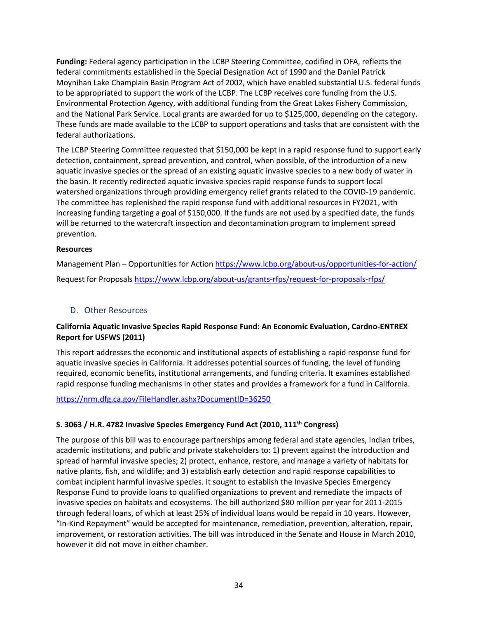**Funding:** Federal agency participation in the LCBP Steering Committee, codified in OFA, reflects the federal commitments established in the Special Designation Act of 1990 and the Daniel Patrick Moynihan Lake Champlain Basin Program Act of 2002, which have enabled substantial U.S. federal funds to be appropriated to support the work of the LCBP. The LCBP receives core funding from the U.S. Environmental Protection Agency, with additional funding from the Great Lakes Fishery Commission, and the National Park Service. Local grants are awarded for up to \$125,000, depending on the category. These funds are made available to the LCBP to support operations and tasks that are consistent with the federal authorizations.

The LCBP Steering Committee requested that \$150,000 be kept in a rapid response fund to support early detection, containment, spread prevention, and control, when possible, of the introduction of a new aquatic invasive species or the spread of an existing aquatic invasive species to a new body of water in the basin. It recently redirected aquatic invasive species rapid response funds to support local watershed organizations through providing emergency relief grants related to the COVID-19 pandemic. The committee has replenished the rapid response fund with additional resources in FY2021, with increasing funding targeting a goal of \$150,000. If the funds are not used by a specified date, the funds will be returned to the watercraft inspection and decontamination program to implement spread prevention.

## **Resources**

Management Plan – Opportunities for Action<https://www.lcbp.org/about-us/opportunities-for-action/> Request for Proposals<https://www.lcbp.org/about-us/grants-rfps/request-for-proposals-rfps/>

## <span id="page-33-0"></span>D. Other Resources

## **California Aquatic Invasive Species Rapid Response Fund: An Economic Evaluation, Cardno-ENTREX Report for USFWS (2011)**

This report addresses the economic and institutional aspects of establishing a rapid response fund for aquatic invasive species in California. It addresses potential sources of funding, the level of funding required, economic benefits, institutional arrangements, and funding criteria. It examines established rapid response funding mechanisms in other states and provides a framework for a fund in California.

<https://nrm.dfg.ca.gov/FileHandler.ashx?DocumentID=36250>

## **S. 3063 / H.R. 4782 Invasive Species Emergency Fund Act (2010, 111th Congress)**

The purpose of this bill was to encourage partnerships among federal and state agencies, Indian tribes, academic institutions, and public and private stakeholders to: 1) prevent against the introduction and spread of harmful invasive species; 2) protect, enhance, restore, and manage a variety of habitats for native plants, fish, and wildlife; and 3) establish early detection and rapid response capabilities to combat incipient harmful invasive species. It sought to establish the Invasive Species Emergency Response Fund to provide loans to qualified organizations to prevent and remediate the impacts of invasive species on habitats and ecosystems. The bill authorized \$80 million per year for 2011-2015 through federal loans, of which at least 25% of individual loans would be repaid in 10 years. However, "In-Kind Repayment" would be accepted for maintenance, remediation, prevention, alteration, repair, improvement, or restoration activities. The bill was introduced in the Senate and House in March 2010, however it did not move in either chamber.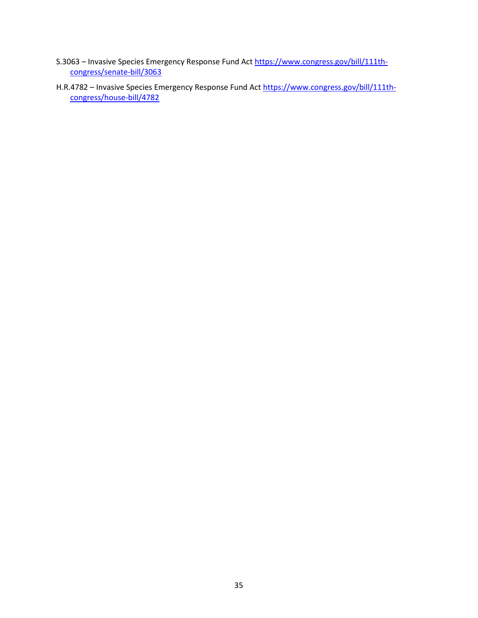- S.3063 Invasive Species Emergency Response Fund Act [https://www.congress.gov/bill/111th](https://www.congress.gov/bill/111th-congress/senate-bill/3063)[congress/senate-bill/3063](https://www.congress.gov/bill/111th-congress/senate-bill/3063)
- H.R.4782 Invasive Species Emergency Response Fund Act [https://www.congress.gov/bill/111th](https://www.congress.gov/bill/111th-congress/house-bill/4782)[congress/house-bill/4782](https://www.congress.gov/bill/111th-congress/house-bill/4782)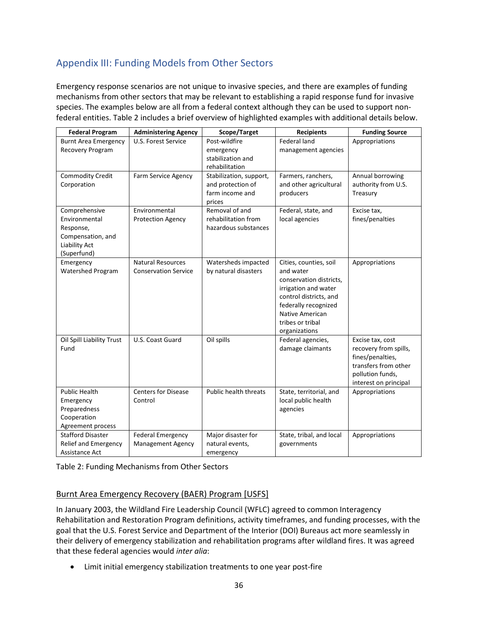## <span id="page-35-0"></span>Appendix III: Funding Models from Other Sectors

Emergency response scenarios are not unique to invasive species, and there are examples of funding mechanisms from other sectors that may be relevant to establishing a rapid response fund for invasive species. The examples below are all from a federal context although they can be used to support nonfederal entities. Table 2 includes a brief overview of highlighted examples with additional details below.

| <b>Federal Program</b>                                                                           | <b>Administering Agency</b>                             | Scope/Target                                                              | <b>Recipients</b>                                                                                                                                                                                | <b>Funding Source</b>                                                                                                              |
|--------------------------------------------------------------------------------------------------|---------------------------------------------------------|---------------------------------------------------------------------------|--------------------------------------------------------------------------------------------------------------------------------------------------------------------------------------------------|------------------------------------------------------------------------------------------------------------------------------------|
| <b>Burnt Area Emergency</b><br>Recovery Program                                                  | U.S. Forest Service                                     | Post-wildfire<br>emergency<br>stabilization and<br>rehabilitation         | <b>Federal land</b><br>management agencies                                                                                                                                                       | Appropriations                                                                                                                     |
| <b>Commodity Credit</b><br>Corporation                                                           | Farm Service Agency                                     | Stabilization, support,<br>and protection of<br>farm income and<br>prices | Farmers, ranchers,<br>and other agricultural<br>producers                                                                                                                                        | Annual borrowing<br>authority from U.S.<br>Treasury                                                                                |
| Comprehensive<br>Environmental<br>Response,<br>Compensation, and<br>Liability Act<br>(Superfund) | Environmental<br><b>Protection Agency</b>               | Removal of and<br>rehabilitation from<br>hazardous substances             | Federal, state, and<br>local agencies                                                                                                                                                            | Excise tax,<br>fines/penalties                                                                                                     |
| Emergency<br><b>Watershed Program</b>                                                            | <b>Natural Resources</b><br><b>Conservation Service</b> | Watersheds impacted<br>by natural disasters                               | Cities, counties, soil<br>and water<br>conservation districts,<br>irrigation and water<br>control districts, and<br>federally recognized<br>Native American<br>tribes or tribal<br>organizations | Appropriations                                                                                                                     |
| Oil Spill Liability Trust<br>Fund                                                                | U.S. Coast Guard                                        | Oil spills                                                                | Federal agencies,<br>damage claimants                                                                                                                                                            | Excise tax, cost<br>recovery from spills,<br>fines/penalties,<br>transfers from other<br>pollution funds,<br>interest on principal |
| <b>Public Health</b><br>Emergency<br>Preparedness<br>Cooperation<br>Agreement process            | <b>Centers for Disease</b><br>Control                   | Public health threats                                                     | State, territorial, and<br>local public health<br>agencies                                                                                                                                       | Appropriations                                                                                                                     |
| <b>Stafford Disaster</b><br>Relief and Emergency<br>Assistance Act                               | <b>Federal Emergency</b><br><b>Management Agency</b>    | Major disaster for<br>natural events,<br>emergency                        | State, tribal, and local<br>governments                                                                                                                                                          | Appropriations                                                                                                                     |

Table 2: Funding Mechanisms from Other Sectors

## Burnt Area Emergency Recovery (BAER) Program [USFS]

In January 2003, the Wildland Fire Leadership Council (WFLC) agreed to common Interagency Rehabilitation and Restoration Program definitions, activity timeframes, and funding processes, with the goal that the U.S. Forest Service and Department of the Interior (DOI) Bureaus act more seamlessly in their delivery of emergency stabilization and rehabilitation programs after wildland fires. It was agreed that these federal agencies would *inter alia*:

• Limit initial emergency stabilization treatments to one year post-fire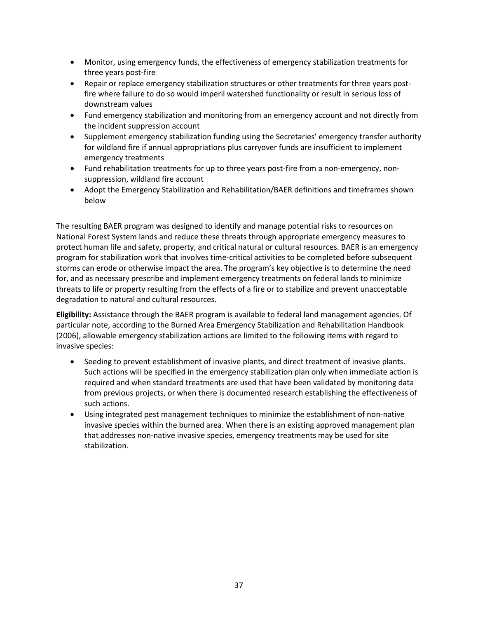- Monitor, using emergency funds, the effectiveness of emergency stabilization treatments for three years post-fire
- Repair or replace emergency stabilization structures or other treatments for three years postfire where failure to do so would imperil watershed functionality or result in serious loss of downstream values
- Fund emergency stabilization and monitoring from an emergency account and not directly from the incident suppression account
- Supplement emergency stabilization funding using the Secretaries' emergency transfer authority for wildland fire if annual appropriations plus carryover funds are insufficient to implement emergency treatments
- Fund rehabilitation treatments for up to three years post-fire from a non-emergency, nonsuppression, wildland fire account
- Adopt the Emergency Stabilization and Rehabilitation/BAER definitions and timeframes shown below

The resulting BAER program was designed to identify and manage potential risks to resources on National Forest System lands and reduce these threats through appropriate emergency measures to protect human life and safety, property, and critical natural or cultural resources. BAER is an emergency program for stabilization work that involves time-critical activities to be completed before subsequent storms can erode or otherwise impact the area. The program's key objective is to determine the need for, and as necessary prescribe and implement emergency treatments on federal lands to minimize threats to life or property resulting from the effects of a fire or to stabilize and prevent unacceptable degradation to natural and cultural resources.

**Eligibility:** Assistance through the BAER program is available to federal land management agencies. Of particular note, according to the Burned Area Emergency Stabilization and Rehabilitation Handbook (2006), allowable emergency stabilization actions are limited to the following items with regard to invasive species:

- Seeding to prevent establishment of invasive plants, and direct treatment of invasive plants. Such actions will be specified in the emergency stabilization plan only when immediate action is required and when standard treatments are used that have been validated by monitoring data from previous projects, or when there is documented research establishing the effectiveness of such actions.
- Using integrated pest management techniques to minimize the establishment of non-native invasive species within the burned area. When there is an existing approved management plan that addresses non-native invasive species, emergency treatments may be used for site stabilization.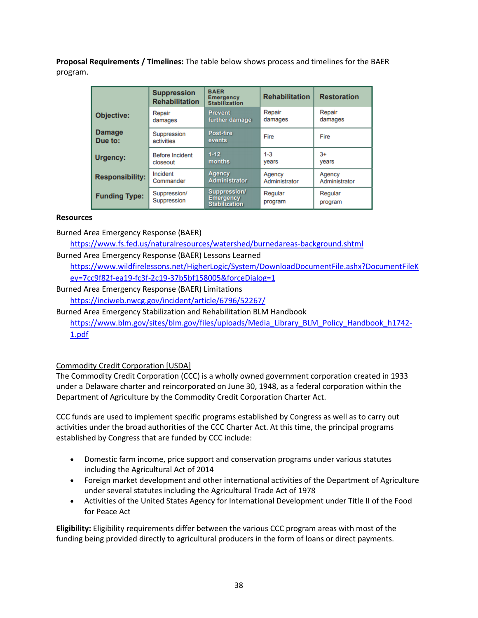**Proposal Requirements / Timelines:** The table below shows process and timelines for the BAER program.

|                          | <b>Suppression</b><br><b>Rehabilitation</b> | <b>BAER</b><br><b>Emergency</b><br><b>Stabilization</b>  | <b>Rehabilitation</b> | <b>Restoration</b> |
|--------------------------|---------------------------------------------|----------------------------------------------------------|-----------------------|--------------------|
| Objective:               | Repair                                      | <b>Prevent</b>                                           | Repair                | Repair             |
|                          | damages                                     | further damage                                           | damages               | damages            |
| <b>Damage</b><br>Due to: | Suppression<br>activities                   | Post-fire<br>events                                      | Fire                  | Fire               |
| Urgency:                 | <b>Before Incident</b>                      | $1-12$                                                   | $1 - 3$               | $3+$               |
|                          | closeout                                    | <b>months</b>                                            | vears                 | vears              |
| <b>Responsibility:</b>   | Incident                                    | <b>Agency</b>                                            | Agency                | Agency             |
|                          | Commander                                   | <b>Administrator</b>                                     | Administrator         | Administrator      |
| <b>Funding Type:</b>     | Suppression/<br>Suppression                 | Suppression/<br><b>Emergency</b><br><b>Stabilization</b> | Regular<br>program    | Regular<br>program |

## **Resources**

Burned Area Emergency Response (BAER)

<https://www.fs.fed.us/naturalresources/watershed/burnedareas-background.shtml>

Burned Area Emergency Response (BAER) Lessons Learned

[https://www.wildfirelessons.net/HigherLogic/System/DownloadDocumentFile.ashx?DocumentFileK](https://www.wildfirelessons.net/HigherLogic/System/DownloadDocumentFile.ashx?DocumentFileKey=7cc9f82f-ea19-fc3f-2c19-37b5bf158005&forceDialog=1) [ey=7cc9f82f-ea19-fc3f-2c19-37b5bf158005&forceDialog=1](https://www.wildfirelessons.net/HigherLogic/System/DownloadDocumentFile.ashx?DocumentFileKey=7cc9f82f-ea19-fc3f-2c19-37b5bf158005&forceDialog=1)

Burned Area Emergency Response (BAER) Limitations

<https://inciweb.nwcg.gov/incident/article/6796/52267/>

Burned Area Emergency Stabilization and Rehabilitation BLM Handbook [https://www.blm.gov/sites/blm.gov/files/uploads/Media\\_Library\\_BLM\\_Policy\\_Handbook\\_h1742-](https://www.blm.gov/sites/blm.gov/files/uploads/Media_Library_BLM_Policy_Handbook_h1742-1.pdf) [1.pdf](https://www.blm.gov/sites/blm.gov/files/uploads/Media_Library_BLM_Policy_Handbook_h1742-1.pdf)

## Commodity Credit Corporation [USDA]

The Commodity Credit Corporation (CCC) is a wholly owned government corporation created in 1933 under a Delaware charter and reincorporated on June 30, 1948, as a federal corporation within the Department of Agriculture by the Commodity Credit Corporation Charter Act.

CCC funds are used to implement specific programs established by Congress as well as to carry out activities under the broad authorities of the CCC Charter Act. At this time, the principal programs established by Congress that are funded by CCC include:

- Domestic farm income, price support and conservation programs under various statutes including the Agricultural Act of 2014
- Foreign market development and other international activities of the Department of Agriculture under several statutes including the Agricultural Trade Act of 1978
- Activities of the United States Agency for International Development under Title II of the Food for Peace Act

**Eligibility:** Eligibility requirements differ between the various CCC program areas with most of the funding being provided directly to agricultural producers in the form of loans or direct payments.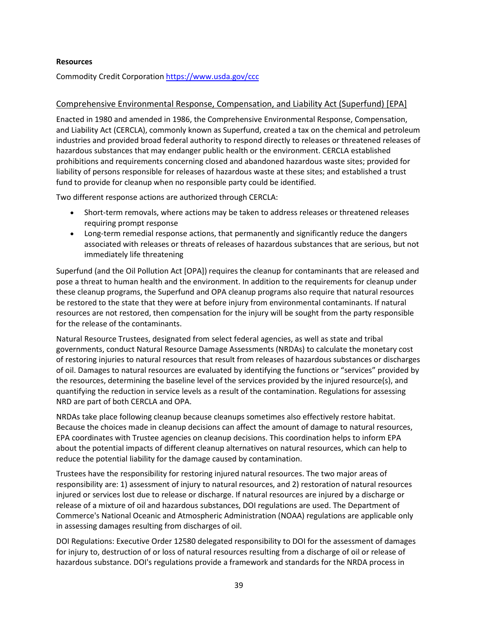#### **Resources**

Commodity Credit Corporation <https://www.usda.gov/ccc>

#### Comprehensive Environmental Response, Compensation, and Liability Act (Superfund) [EPA]

Enacted in 1980 and amended in 1986, the Comprehensive Environmental Response, Compensation, and Liability Act (CERCLA), commonly known as Superfund, created a tax on the chemical and petroleum industries and provided broad federal authority to respond directly to releases or threatened releases of hazardous substances that may endanger public health or the environment. CERCLA established prohibitions and requirements concerning closed and abandoned hazardous waste sites; provided for liability of persons responsible for releases of hazardous waste at these sites; and established a trust fund to provide for cleanup when no responsible party could be identified.

Two different response actions are authorized through CERCLA:

- Short-term removals, where actions may be taken to address releases or threatened releases requiring prompt response
- Long-term remedial response actions, that permanently and significantly reduce the dangers associated with releases or threats of releases of hazardous substances that are serious, but not immediately life threatening

Superfund (and the Oil Pollution Act [OPA]) requires the cleanup for contaminants that are released and pose a threat to human health and the environment. In addition to the requirements for cleanup under these cleanup programs, the Superfund and OPA cleanup programs also require that natural resources be restored to the state that they were at before injury from environmental contaminants. If natural resources are not restored, then compensation for the injury will be sought from the party responsible for the release of the contaminants.

Natural Resource Trustees, designated from select federal agencies, as well as state and tribal governments, conduct Natural Resource Damage Assessments (NRDAs) to calculate the monetary cost of restoring injuries to natural resources that result from releases of hazardous substances or discharges of oil. Damages to natural resources are evaluated by identifying the functions or "services" provided by the resources, determining the baseline level of the services provided by the injured resource(s), and quantifying the reduction in service levels as a result of the contamination. Regulations for assessing NRD are part of both CERCLA and OPA.

NRDAs take place following cleanup because cleanups sometimes also effectively restore habitat. Because the choices made in cleanup decisions can affect the amount of damage to natural resources, EPA coordinates with Trustee agencies on cleanup decisions. This coordination helps to inform EPA about the potential impacts of different cleanup alternatives on natural resources, which can help to reduce the potential liability for the damage caused by contamination.

Trustees have the responsibility for restoring injured natural resources. The two major areas of responsibility are: 1) assessment of injury to natural resources, and 2) restoration of natural resources injured or services lost due to release or discharge. If natural resources are injured by a discharge or release of a mixture of oil and hazardous substances, DOI regulations are used. The Department of Commerce's National Oceanic and Atmospheric Administration (NOAA) regulations are applicable only in assessing damages resulting from discharges of oil.

DOI Regulations: Executive Order 12580 delegated responsibility to DOI for the assessment of damages for injury to, destruction of or loss of natural resources resulting from a discharge of oil or release of hazardous substance. DOI's regulations provide a framework and standards for the NRDA process in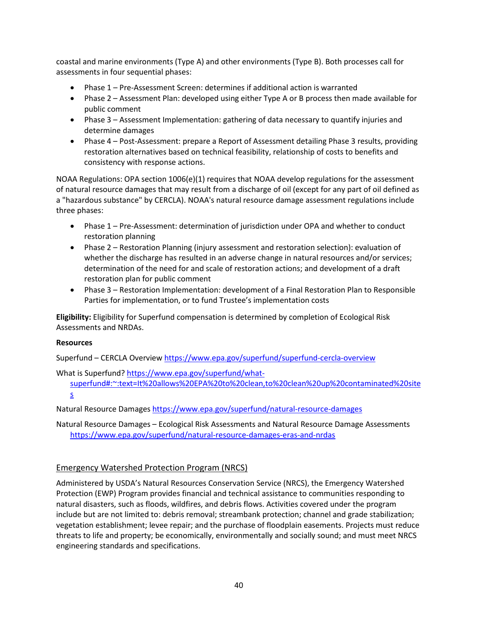coastal and marine environments (Type A) and other environments (Type B). Both processes call for assessments in four sequential phases:

- Phase 1 Pre-Assessment Screen: determines if additional action is warranted
- Phase 2 Assessment Plan: developed using either Type A or B process then made available for public comment
- Phase 3 Assessment Implementation: gathering of data necessary to quantify injuries and determine damages
- Phase 4 Post-Assessment: prepare a Report of Assessment detailing Phase 3 results, providing restoration alternatives based on technical feasibility, relationship of costs to benefits and consistency with response actions.

NOAA Regulations: OPA section 1006(e)(1) requires that NOAA develop regulations for the assessment of natural resource damages that may result from a discharge of oil (except for any part of oil defined as a "hazardous substance" by CERCLA). NOAA's natural resource damage assessment regulations include three phases:

- Phase 1 Pre-Assessment: determination of jurisdiction under OPA and whether to conduct restoration planning
- Phase 2 Restoration Planning (injury assessment and restoration selection): evaluation of whether the discharge has resulted in an adverse change in natural resources and/or services; determination of the need for and scale of restoration actions; and development of a draft restoration plan for public comment
- Phase 3 Restoration Implementation: development of a Final Restoration Plan to Responsible Parties for implementation, or to fund Trustee's implementation costs

**Eligibility:** Eligibility for Superfund compensation is determined by completion of Ecological Risk Assessments and NRDAs.

#### **Resources**

Superfund – CERCLA Overview <https://www.epa.gov/superfund/superfund-cercla-overview>

What is Superfund? [https://www.epa.gov/superfund/what](https://www.epa.gov/superfund/what-superfund#:%7E:text=It%20allows%20EPA%20to%20clean,to%20clean%20up%20contaminated%20sites.)[superfund#:~:text=It%20allows%20EPA%20to%20clean,to%20clean%20up%20contaminated%20site](https://www.epa.gov/superfund/what-superfund#:%7E:text=It%20allows%20EPA%20to%20clean,to%20clean%20up%20contaminated%20sites.) [s](https://www.epa.gov/superfund/what-superfund#:%7E:text=It%20allows%20EPA%20to%20clean,to%20clean%20up%20contaminated%20sites.)

Natural Resource Damages <https://www.epa.gov/superfund/natural-resource-damages>

Natural Resource Damages – Ecological Risk Assessments and Natural Resource Damage Assessments <https://www.epa.gov/superfund/natural-resource-damages-eras-and-nrdas>

## Emergency Watershed Protection Program (NRCS)

Administered by USDA's Natural Resources Conservation Service (NRCS), the Emergency Watershed Protection (EWP) Program provides financial and technical assistance to communities responding to natural disasters, such as floods, wildfires, and debris flows. Activities covered under the program include but are not limited to: debris removal; streambank protection; channel and grade stabilization; vegetation establishment; levee repair; and the purchase of floodplain easements. Projects must reduce threats to life and property; be economically, environmentally and socially sound; and must meet NRCS engineering standards and specifications.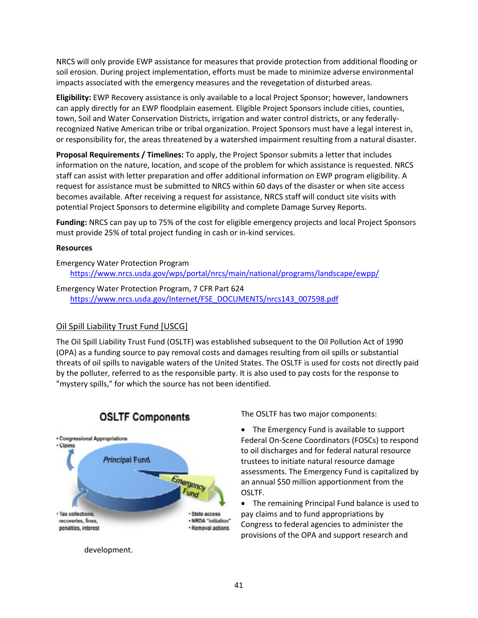NRCS will only provide EWP assistance for measures that provide protection from additional flooding or soil erosion. During project implementation, efforts must be made to minimize adverse environmental impacts associated with the emergency measures and the revegetation of disturbed areas.

**Eligibility:** EWP Recovery assistance is only available to a local Project Sponsor; however, landowners can apply directly for an EWP floodplain easement. Eligible Project Sponsors include cities, counties, town, Soil and Water Conservation Districts, irrigation and water control districts, or any federallyrecognized Native American tribe or tribal organization. Project Sponsors must have a legal interest in, or responsibility for, the areas threatened by a watershed impairment resulting from a natural disaster.

**Proposal Requirements / Timelines:** To apply, the Project Sponsor submits a letter that includes information on the nature, location, and scope of the problem for which assistance is requested. NRCS staff can assist with letter preparation and offer additional information on EWP program eligibility. A request for assistance must be submitted to NRCS within 60 days of the disaster or when site access becomes available. After receiving a request for assistance, NRCS staff will conduct site visits with potential Project Sponsors to determine eligibility and complete Damage Survey Reports.

**Funding:** NRCS can pay up to 75% of the cost for eligible emergency projects and local Project Sponsors must provide 25% of total project funding in cash or in-kind services.

#### **Resources**

Emergency Water Protection Program <https://www.nrcs.usda.gov/wps/portal/nrcs/main/national/programs/landscape/ewpp/>

## Emergency Water Protection Program, 7 CFR Part 624

[https://www.nrcs.usda.gov/Internet/FSE\\_DOCUMENTS/nrcs143\\_007598.pdf](https://www.nrcs.usda.gov/Internet/FSE_DOCUMENTS/nrcs143_007598.pdf)

#### Oil Spill Liability Trust Fund [USCG]

The Oil Spill Liability Trust Fund (OSLTF) was established subsequent to the Oil Pollution Act of 1990 (OPA) as a funding source to pay removal costs and damages resulting from oil spills or substantial threats of oil spills to navigable waters of the United States. The OSLTF is used for costs not directly paid by the polluter, referred to as the responsible party. It is also used to pay costs for the response to "mystery spills," for which the source has not been identified.



## **OSLTF Components**

development.

The OSLTF has two major components:

• The Emergency Fund is available to support Federal On-Scene Coordinators (FOSCs) to respond to oil discharges and for federal natural resource trustees to initiate natural resource damage assessments. The Emergency Fund is capitalized by an annual \$50 million apportionment from the OSLTF.

• The remaining Principal Fund balance is used to pay claims and to fund appropriations by Congress to federal agencies to administer the provisions of the OPA and support research and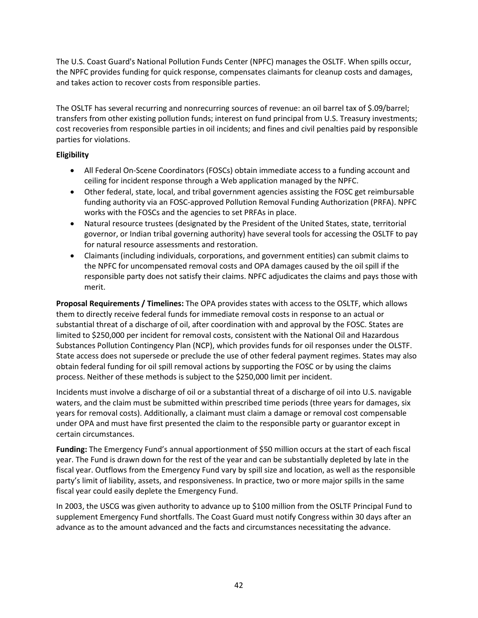The U.S. Coast Guard's National Pollution Funds Center (NPFC) manages the OSLTF. When spills occur, the NPFC provides funding for quick response, compensates claimants for cleanup costs and damages, and takes action to recover costs from responsible parties.

The OSLTF has several recurring and nonrecurring sources of revenue: an oil barrel tax of \$.09/barrel; transfers from other existing pollution funds; interest on fund principal from U.S. Treasury investments; cost recoveries from responsible parties in oil incidents; and fines and civil penalties paid by responsible parties for violations.

## **Eligibility**

- All Federal On-Scene Coordinators (FOSCs) obtain immediate access to a funding account and ceiling for incident response through a Web application managed by the NPFC.
- Other federal, state, local, and tribal government agencies assisting the FOSC get reimbursable funding authority via an FOSC-approved Pollution Removal Funding Authorization (PRFA). NPFC works with the FOSCs and the agencies to set PRFAs in place.
- Natural resource trustees (designated by the President of the United States, state, territorial governor, or Indian tribal governing authority) have several tools for accessing the OSLTF to pay for natural resource assessments and restoration.
- Claimants (including individuals, corporations, and government entities) can submit claims to the NPFC for uncompensated removal costs and OPA damages caused by the oil spill if the responsible party does not satisfy their claims. NPFC adjudicates the claims and pays those with merit.

**Proposal Requirements / Timelines:** The OPA provides states with access to the OSLTF, which allows them to directly receive federal funds for immediate removal costs in response to an actual or substantial threat of a discharge of oil, after coordination with and approval by the FOSC. States are limited to \$250,000 per incident for removal costs, consistent with the National Oil and Hazardous Substances Pollution Contingency Plan (NCP), which provides funds for oil responses under the OLSTF. State access does not supersede or preclude the use of other federal payment regimes. States may also obtain federal funding for oil spill removal actions by supporting the FOSC or by using the claims process. Neither of these methods is subject to the \$250,000 limit per incident.

Incidents must involve a discharge of oil or a substantial threat of a discharge of oil into U.S. navigable waters, and the claim must be submitted within prescribed time periods (three years for damages, six years for removal costs). Additionally, a claimant must claim a damage or removal cost compensable under OPA and must have first presented the claim to the responsible party or guarantor except in certain circumstances.

**Funding:** The Emergency Fund's annual apportionment of \$50 million occurs at the start of each fiscal year. The Fund is drawn down for the rest of the year and can be substantially depleted by late in the fiscal year. Outflows from the Emergency Fund vary by spill size and location, as well as the responsible party's limit of liability, assets, and responsiveness. In practice, two or more major spills in the same fiscal year could easily deplete the Emergency Fund.

In 2003, the USCG was given authority to advance up to \$100 million from the OSLTF Principal Fund to supplement Emergency Fund shortfalls. The Coast Guard must notify Congress within 30 days after an advance as to the amount advanced and the facts and circumstances necessitating the advance.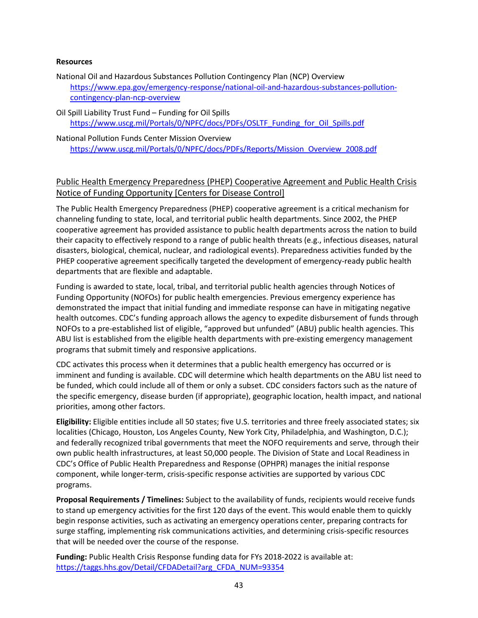#### **Resources**

- National Oil and Hazardous Substances Pollution Contingency Plan (NCP) Overview [https://www.epa.gov/emergency-response/national-oil-and-hazardous-substances-pollution](https://www.epa.gov/emergency-response/national-oil-and-hazardous-substances-pollution-contingency-plan-ncp-overview)[contingency-plan-ncp-overview](https://www.epa.gov/emergency-response/national-oil-and-hazardous-substances-pollution-contingency-plan-ncp-overview)
- Oil Spill Liability Trust Fund Funding for Oil Spills [https://www.uscg.mil/Portals/0/NPFC/docs/PDFs/OSLTF\\_Funding\\_for\\_Oil\\_Spills.pdf](https://www.uscg.mil/Portals/0/NPFC/docs/PDFs/OSLTF_Funding_for_Oil_Spills.pdf)
- National Pollution Funds Center Mission Overview [https://www.uscg.mil/Portals/0/NPFC/docs/PDFs/Reports/Mission\\_Overview\\_2008.pdf](https://www.uscg.mil/Portals/0/NPFC/docs/PDFs/Reports/Mission_Overview_2008.pdf)

## Public Health Emergency Preparedness (PHEP) Cooperative Agreement and Public Health Crisis Notice of Funding Opportunity [Centers for Disease Control]

The Public Health Emergency Preparedness (PHEP) cooperative agreement is a critical mechanism for channeling funding to state, local, and territorial public health departments. Since 2002, the PHEP cooperative agreement has provided assistance to public health departments across the nation to build their capacity to effectively respond to a range of public health threats (e.g., infectious diseases, natural disasters, biological, chemical, nuclear, and radiological events). Preparedness activities funded by the PHEP cooperative agreement specifically targeted the development of emergency-ready public health departments that are flexible and adaptable.

Funding is awarded to state, local, tribal, and territorial public health agencies through Notices of Funding Opportunity (NOFOs) for public health emergencies. Previous emergency experience has demonstrated the impact that initial funding and immediate response can have in mitigating negative health outcomes. CDC's funding approach allows the agency to expedite disbursement of funds through NOFOs to a pre-established list of eligible, "approved but unfunded" (ABU) public health agencies. This ABU list is established from the eligible health departments with pre-existing emergency management programs that submit timely and responsive applications.

CDC activates this process when it determines that a public health emergency has occurred or is imminent and funding is available. CDC will determine which health departments on the ABU list need to be funded, which could include all of them or only a subset. CDC considers factors such as the nature of the specific emergency, disease burden (if appropriate), geographic location, health impact, and national priorities, among other factors.

**Eligibility:** Eligible entities include all 50 states; five U.S. territories and three freely associated states; six localities (Chicago, Houston, Los Angeles County, New York City, Philadelphia, and Washington, D.C.); and federally recognized tribal governments that meet the NOFO requirements and serve, through their own public health infrastructures, at least 50,000 people. The Division of State and Local Readiness in CDC's Office of Public Health Preparedness and Response (OPHPR) manages the initial response component, while longer-term, crisis-specific response activities are supported by various CDC programs.

**Proposal Requirements / Timelines:** Subject to the availability of funds, recipients would receive funds to stand up emergency activities for the first 120 days of the event. This would enable them to quickly begin response activities, such as activating an emergency operations center, preparing contracts for surge staffing, implementing risk communications activities, and determining crisis-specific resources that will be needed over the course of the response.

**Funding:** Public Health Crisis Response funding data for FYs 2018-2022 is available at: [https://taggs.hhs.gov/Detail/CFDADetail?arg\\_CFDA\\_NUM=93354](https://taggs.hhs.gov/Detail/CFDADetail?arg_CFDA_NUM=93354)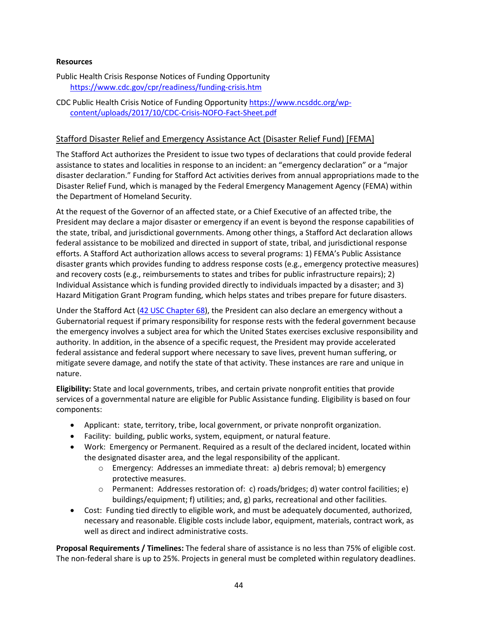#### **Resources**

Public Health Crisis Response Notices of Funding Opportunity <https://www.cdc.gov/cpr/readiness/funding-crisis.htm>

#### CDC Public Health Crisis Notice of Funding Opportunity [https://www.ncsddc.org/wp](https://www.ncsddc.org/wp-content/uploads/2017/10/CDC-Crisis-NOFO-Fact-Sheet.pdf)[content/uploads/2017/10/CDC-Crisis-NOFO-Fact-Sheet.pdf](https://www.ncsddc.org/wp-content/uploads/2017/10/CDC-Crisis-NOFO-Fact-Sheet.pdf)

## Stafford Disaster Relief and Emergency Assistance Act (Disaster Relief Fund) [FEMA]

The Stafford Act authorizes the President to issue two types of declarations that could provide federal assistance to states and localities in response to an incident: an "emergency declaration" or a "major disaster declaration." Funding for Stafford Act activities derives from annual appropriations made to the Disaster Relief Fund, which is managed by the Federal Emergency Management Agency (FEMA) within the Department of Homeland Security.

At the request of the Governor of an affected state, or a Chief Executive of an affected tribe, the President may declare a major disaster or emergency if an event is beyond the response capabilities of the state, tribal, and jurisdictional governments. Among other things, a Stafford Act declaration allows federal assistance to be mobilized and directed in support of state, tribal, and jurisdictional response efforts. A Stafford Act authorization allows access to several programs: 1) FEMA's Public Assistance disaster grants which provides funding to address response costs (e.g., emergency protective measures) and recovery costs (e.g., reimbursements to states and tribes for public infrastructure repairs); 2) Individual Assistance which is funding provided directly to individuals impacted by a disaster; and 3) Hazard Mitigation Grant Program funding, which helps states and tribes prepare for future disasters.

Under the Stafford Act [\(42 USC Chapter 68\)](http://uscode.house.gov/download/pls/42C68.txt), the President can also declare an emergency without a Gubernatorial request if primary responsibility for response rests with the federal government because the emergency involves a subject area for which the United States exercises exclusive responsibility and authority. In addition, in the absence of a specific request, the President may provide accelerated federal assistance and federal support where necessary to save lives, prevent human suffering, or mitigate severe damage, and notify the state of that activity. These instances are rare and unique in nature.

**Eligibility:** State and local governments, tribes, and certain private nonprofit entities that provide services of a governmental nature are eligible for Public Assistance funding. Eligibility is based on four components:

- Applicant: state, territory, tribe, local government, or private nonprofit organization.
- Facility: building, public works, system, equipment, or natural feature.
- Work: Emergency or Permanent. Required as a result of the declared incident, located within the designated disaster area, and the legal responsibility of the applicant.
	- o Emergency: Addresses an immediate threat: a) debris removal; b) emergency protective measures.
	- o Permanent: Addresses restoration of: c) roads/bridges; d) water control facilities; e) buildings/equipment; f) utilities; and, g) parks, recreational and other facilities.
- Cost: Funding tied directly to eligible work, and must be adequately documented, authorized, necessary and reasonable. Eligible costs include labor, equipment, materials, contract work, as well as direct and indirect administrative costs.

**Proposal Requirements / Timelines:** The federal share of assistance is no less than 75% of eligible cost. The non-federal share is up to 25%. Projects in general must be completed within regulatory deadlines.